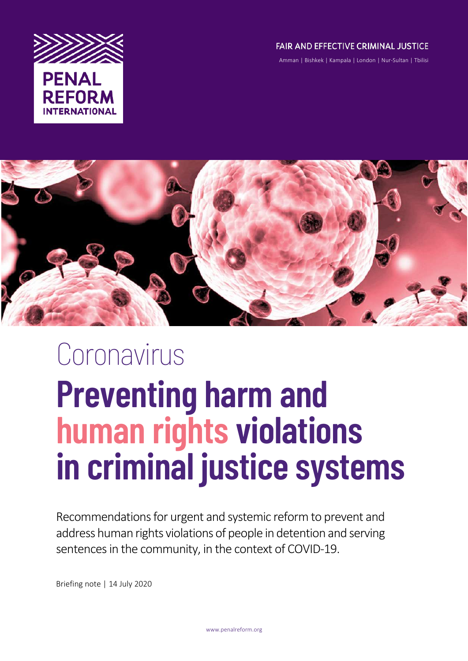

### FAIR AND EFFECTIVE CRIMINAL JUSTICE

Amman | Bishkek | Kampala | London | Nur-Sultan | Tbilisi



# Coronavirus **Preventing harm and human rights violations in criminal justice systems**

Recommendations for urgent and systemic reform to prevent and address human rights violations of people in detention and serving sentences in the community, in the context of COVID-19.

Briefing note | 14 July 2020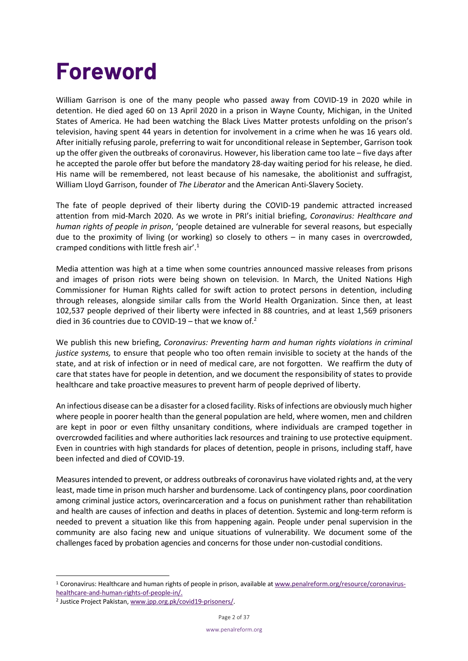### **Foreword**

William Garrison is one of the many people who passed away from COVID-19 in 2020 while in detention. He died aged 60 on 13 April 2020 in a prison in Wayne County, Michigan, in the United States of America. He had been watching the Black Lives Matter protests unfolding on the prison's television, having spent 44 years in detention for involvement in a crime when he was 16 years old. After initially refusing parole, preferring to wait for unconditional release in September, Garrison took up the offer given the outbreaks of coronavirus. However, his liberation came too late – five days after he accepted the parole offer but before the mandatory 28-day waiting period for his release, he died. His name will be remembered, not least because of his namesake, the abolitionist and suffragist, William Lloyd Garrison, founder of *The Liberator* and the American Anti-Slavery Society.

The fate of people deprived of their liberty during the COVID-19 pandemic attracted increased attention from mid-March 2020. As we wrote in PRI's initial briefing, *Coronavirus: Healthcare and human rights of people in prison*, 'people detained are vulnerable for several reasons, but especially due to the proximity of living (or working) so closely to others – in many cases in overcrowded, cramped conditions with little fresh air'.1

Media attention was high at a time when some countries announced massive releases from prisons and images of prison riots were being shown on television. In March, the United Nations High Commissioner for Human Rights called for swift action to protect persons in detention, including through releases, alongside similar calls from the World Health Organization. Since then, at least 102,537 people deprived of their liberty were infected in 88 countries, and at least 1,569 prisoners died in 36 countries due to COVID-19 – that we know of.<sup>2</sup>

We publish this new briefing, *Coronavirus: Preventing harm and human rights violations in criminal justice systems,* to ensure that people who too often remain invisible to society at the hands of the state, and at risk of infection or in need of medical care, are not forgotten. We reaffirm the duty of care that states have for people in detention, and we document the responsibility of states to provide healthcare and take proactive measures to prevent harm of people deprived of liberty.

An infectious disease can be a disaster for a closed facility. Risks of infections are obviously much higher where people in poorer health than the general population are held, where women, men and children are kept in poor or even filthy unsanitary conditions, where individuals are cramped together in overcrowded facilities and where authorities lack resources and training to use protective equipment. Even in countries with high standards for places of detention, people in prisons, including staff, have been infected and died of COVID-19.

Measures intended to prevent, or address outbreaks of coronavirus have violated rights and, at the very least, made time in prison much harsher and burdensome. Lack of contingency plans, poor coordination among criminal justice actors, overincarceration and a focus on punishment rather than rehabilitation and health are causes of infection and deaths in places of detention. Systemic and long-term reform is needed to prevent a situation like this from happening again. People under penal supervision in the community are also facing new and unique situations of vulnerability. We document some of the challenges faced by probation agencies and concerns for those under non-custodial conditions.

<sup>1</sup> Coronavirus: Healthcare and human rights of people in prison, available at www.penalreform.org/resource/coronavirushealthcare-and-human-rights-of-people-in/.

<sup>2</sup> Justice Project Pakistan, www.jpp.org.pk/covid19-prisoners/.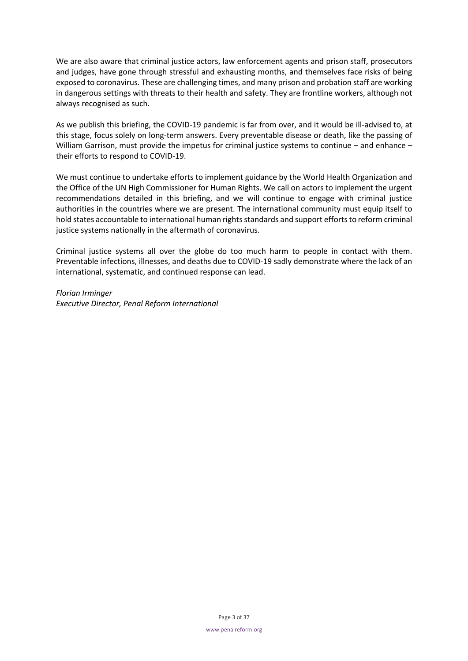We are also aware that criminal justice actors, law enforcement agents and prison staff, prosecutors and judges, have gone through stressful and exhausting months, and themselves face risks of being exposed to coronavirus. These are challenging times, and many prison and probation staff are working in dangerous settings with threats to their health and safety. They are frontline workers, although not always recognised as such.

As we publish this briefing, the COVID-19 pandemic is far from over, and it would be ill-advised to, at this stage, focus solely on long-term answers. Every preventable disease or death, like the passing of William Garrison, must provide the impetus for criminal justice systems to continue – and enhance – their efforts to respond to COVID-19.

We must continue to undertake efforts to implement guidance by the World Health Organization and the Office of the UN High Commissioner for Human Rights. We call on actors to implement the urgent recommendations detailed in this briefing, and we will continue to engage with criminal justice authorities in the countries where we are present. The international community must equip itself to hold states accountable to international human rights standards and support efforts to reform criminal justice systems nationally in the aftermath of coronavirus.

Criminal justice systems all over the globe do too much harm to people in contact with them. Preventable infections, illnesses, and deaths due to COVID-19 sadly demonstrate where the lack of an international, systematic, and continued response can lead.

*Florian Irminger Executive Director, Penal Reform International*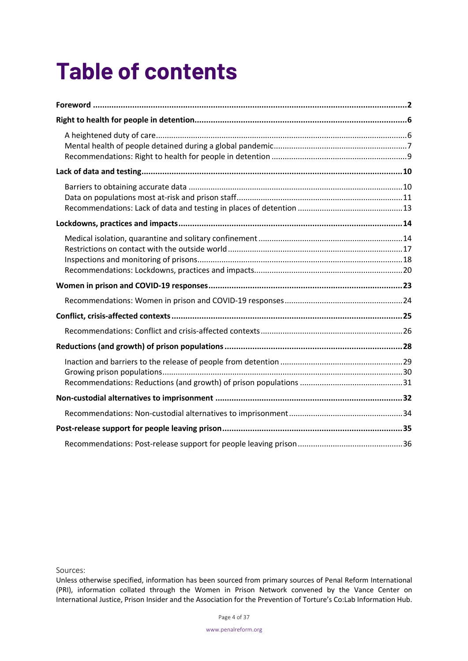## **Table of contents**

Sources:

Unless otherwise specified, information has been sourced from primary sources of Penal Reform International (PRI), information collated through the Women in Prison Network convened by the Vance Center on International Justice, Prison Insider and the Association for the Prevention of Torture's Co:Lab Information Hub.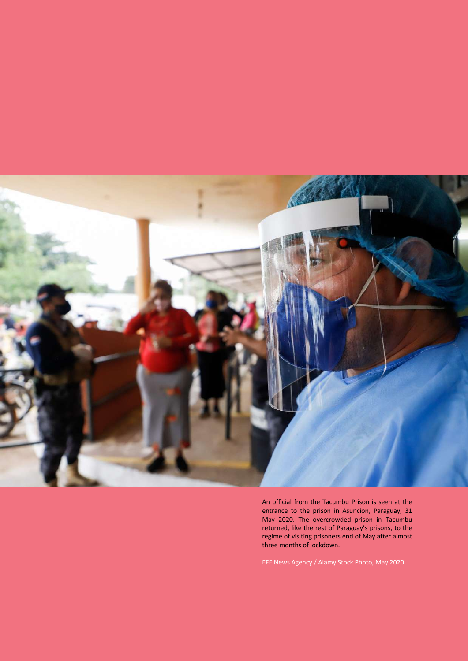

An official from the Tacumbu Prison is seen at the entrance to the prison in Asuncion, Paraguay, 31 May 2020. The overcrowded prison in Tacumbu returned, like the rest of Paraguay's prisons, to the regime of visiting prisoners end of May after almost three months of lockdown.

EFE News Agency / Alamy Stock Photo, May 2020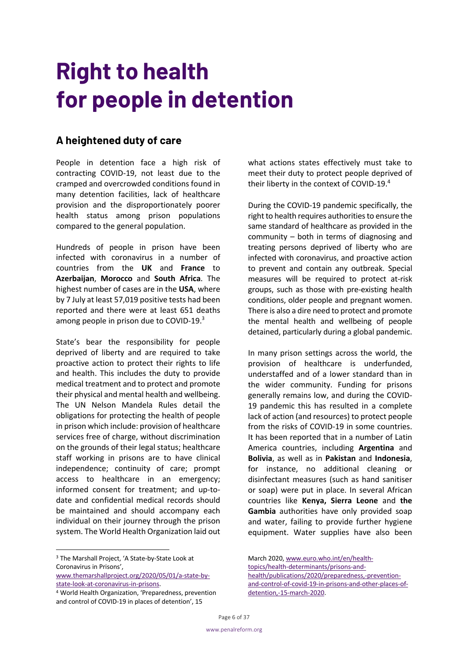### **Right to health for people in detention**

### **A heightened duty of care**

People in detention face a high risk of contracting COVID-19, not least due to the cramped and overcrowded conditions found in many detention facilities, lack of healthcare provision and the disproportionately poorer health status among prison populations compared to the general population.

Hundreds of people in prison have been infected with coronavirus in a number of countries from the **UK** and **France** to **Azerbaijan**, **Morocco** and **South Africa**. The highest number of cases are in the **USA**, where by 7 July at least 57,019 positive tests had been reported and there were at least 651 deaths among people in prison due to COVID-19.3

State's bear the responsibility for people deprived of liberty and are required to take proactive action to protect their rights to life and health. This includes the duty to provide medical treatment and to protect and promote their physical and mental health and wellbeing. The UN Nelson Mandela Rules detail the obligations for protecting the health of people in prison which include: provision of healthcare services free of charge, without discrimination on the grounds of their legal status; healthcare staff working in prisons are to have clinical independence; continuity of care; prompt access to healthcare in an emergency; informed consent for treatment; and up-todate and confidential medical records should be maintained and should accompany each individual on their journey through the prison system. The World Health Organization laid out what actions states effectively must take to meet their duty to protect people deprived of their liberty in the context of COVID-19.<sup>4</sup>

During the COVID-19 pandemic specifically, the right to health requires authorities to ensure the same standard of healthcare as provided in the community – both in terms of diagnosing and treating persons deprived of liberty who are infected with coronavirus, and proactive action to prevent and contain any outbreak. Special measures will be required to protect at-risk groups, such as those with pre-existing health conditions, older people and pregnant women. There is also a dire need to protect and promote the mental health and wellbeing of people detained, particularly during a global pandemic.

In many prison settings across the world, the provision of healthcare is underfunded, understaffed and of a lower standard than in the wider community. Funding for prisons generally remains low, and during the COVID-19 pandemic this has resulted in a complete lack of action (and resources) to protect people from the risks of COVID-19 in some countries. It has been reported that in a number of Latin America countries, including **Argentina** and **Bolivia**, as well as in **Pakistan** and **Indonesia**, for instance, no additional cleaning or disinfectant measures (such as hand sanitiser or soap) were put in place. In several African countries like **Kenya, Sierra Leone** and **the Gambia** authorities have only provided soap and water, failing to provide further hygiene equipment. Water supplies have also been

www.themarshallproject.org/2020/05/01/a-state-bystate-look-at-coronavirus-in-prisons.

March 2020, www.euro.who.int/en/health-

```
topics/health-determinants/prisons-and-
health/publications/2020/preparedness,-prevention-
and-control-of-covid-19-in-prisons-and-other-places-of-
detention,-15-march-2020.
```
<sup>3</sup> The Marshall Project, 'A State-by-State Look at Coronavirus in Prisons',

<sup>4</sup> World Health Organization, 'Preparedness, prevention and control of COVID-19 in places of detention', 15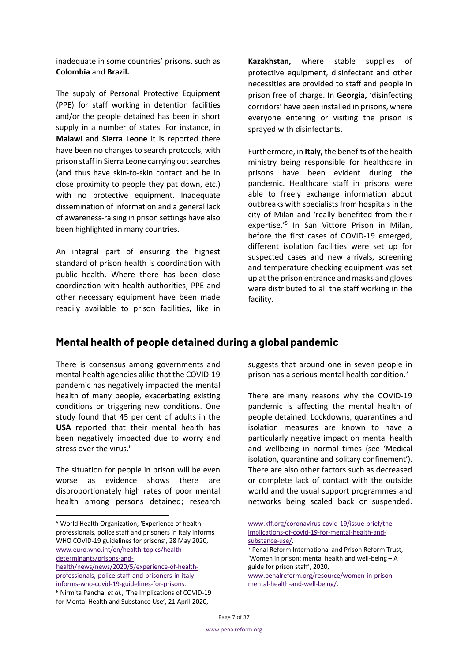inadequate in some countries' prisons, such as **Colombia** and **Brazil.**

The supply of Personal Protective Equipment (PPE) for staff working in detention facilities and/or the people detained has been in short supply in a number of states. For instance, in **Malawi** and **Sierra Leone** it is reported there have been no changes to search protocols, with prison staff in Sierra Leone carrying out searches (and thus have skin-to-skin contact and be in close proximity to people they pat down, etc.) with no protective equipment. Inadequate dissemination of information and a general lack of awareness-raising in prison settings have also been highlighted in many countries.

An integral part of ensuring the highest standard of prison health is coordination with public health. Where there has been close coordination with health authorities, PPE and other necessary equipment have been made readily available to prison facilities, like in **Kazakhstan,** where stable supplies of protective equipment, disinfectant and other necessities are provided to staff and people in prison free of charge. In **Georgia,** 'disinfecting corridors' have been installed in prisons, where everyone entering or visiting the prison is sprayed with disinfectants.

Furthermore, in **Italy,** the benefits of the health ministry being responsible for healthcare in prisons have been evident during the pandemic. Healthcare staff in prisons were able to freely exchange information about outbreaks with specialists from hospitals in the city of Milan and 'really benefited from their expertise.'5 In San Vittore Prison in Milan, before the first cases of COVID-19 emerged, different isolation facilities were set up for suspected cases and new arrivals, screening and temperature checking equipment was set up at the prison entrance and masks and gloves were distributed to all the staff working in the facility.

### **Mental health of people detained during a global pandemic**

There is consensus among governments and mental health agencies alike that the COVID-19 pandemic has negatively impacted the mental health of many people, exacerbating existing conditions or triggering new conditions. One study found that 45 per cent of adults in the **USA** reported that their mental health has been negatively impacted due to worry and stress over the virus.<sup>6</sup>

The situation for people in prison will be even worse as evidence shows there are disproportionately high rates of poor mental health among persons detained; research

health/news/news/2020/5/experience-of-healthprofessionals,-police-staff-and-prisoners-in-italyinforms-who-covid-19-guidelines-for-prisons. <sup>6</sup> Nirmita Panchal *et al*., 'The Implications of COVID-19 for Mental Health and Substance Use', 21 April 2020,

suggests that around one in seven people in prison has a serious mental health condition.<sup>7</sup>

There are many reasons why the COVID-19 pandemic is affecting the mental health of people detained. Lockdowns, quarantines and isolation measures are known to have a particularly negative impact on mental health and wellbeing in normal times (see 'Medical isolation, quarantine and solitary confinement'). There are also other factors such as decreased or complete lack of contact with the outside world and the usual support programmes and networks being scaled back or suspended.

<sup>5</sup> World Health Organization, 'Experience of health professionals, police staff and prisoners in Italy informs WHO COVID-19 guidelines for prisons', 28 May 2020, www.euro.who.int/en/health-topics/healthdeterminants/prisons-and-

www.kff.org/coronavirus-covid-19/issue-brief/theimplications-of-covid-19-for-mental-health-andsubstance-use/.

<sup>7</sup> Penal Reform International and Prison Reform Trust, 'Women in prison: mental health and well-being – A guide for prison staff', 2020,

www.penalreform.org/resource/women-in-prisonmental-health-and-well-being/.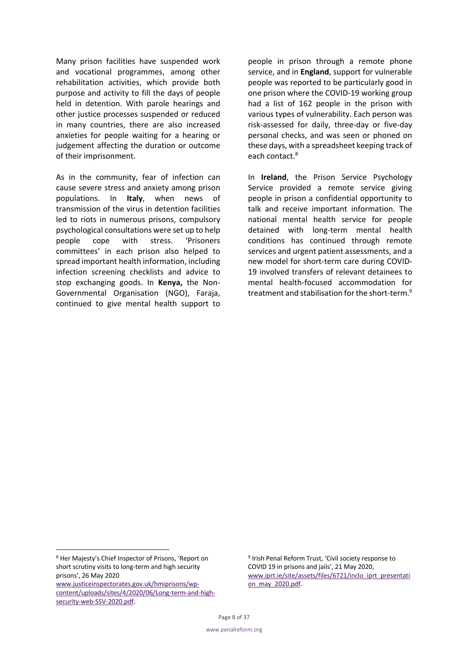Many prison facilities have suspended work and vocational programmes, among other rehabilitation activities, which provide both purpose and activity to fill the days of people held in detention. With parole hearings and other justice processes suspended or reduced in many countries, there are also increased anxieties for people waiting for a hearing or judgement affecting the duration or outcome of their imprisonment.

As in the community, fear of infection can cause severe stress and anxiety among prison populations. In **Italy**, when news of transmission of the virus in detention facilities led to riots in numerous prisons, compulsory psychological consultations were set up to help people cope with stress. 'Prisoners committees' in each prison also helped to spread important health information, including infection screening checklists and advice to stop exchanging goods. In **Kenya,** the Non-Governmental Organisation (NGO), Faraja, continued to give mental health support to people in prison through a remote phone service, and in **England**, support for vulnerable people was reported to be particularly good in one prison where the COVID-19 working group had a list of 162 people in the prison with various types of vulnerability. Each person was risk-assessed for daily, three-day or five-day personal checks, and was seen or phoned on these days, with a spreadsheet keeping track of each contact.<sup>8</sup>

In **Ireland**, the Prison Service Psychology Service provided a remote service giving people in prison a confidential opportunity to talk and receive important information. The national mental health service for people detained with long-term mental health conditions has continued through remote services and urgent patient assessments, and a new model for short-term care during COVID-19 involved transfers of relevant detainees to mental health-focused accommodation for treatment and stabilisation for the short-term.<sup>9</sup>

<sup>9</sup> Irish Penal Reform Trust, 'Civil society response to COVID 19 in prisons and jails', 21 May 2020, www.iprt.ie/site/assets/files/6721/inclo\_iprt\_presentati on\_may\_2020.pdf.

<sup>8</sup> Her Majesty's Chief Inspector of Prisons, 'Report on short scrutiny visits to long-term and high security prisons', 26 May 2020 www.justiceinspectorates.gov.uk/hmiprisons/wpcontent/uploads/sites/4/2020/06/Long-term-and-highsecurity-web-SSV-2020.pdf.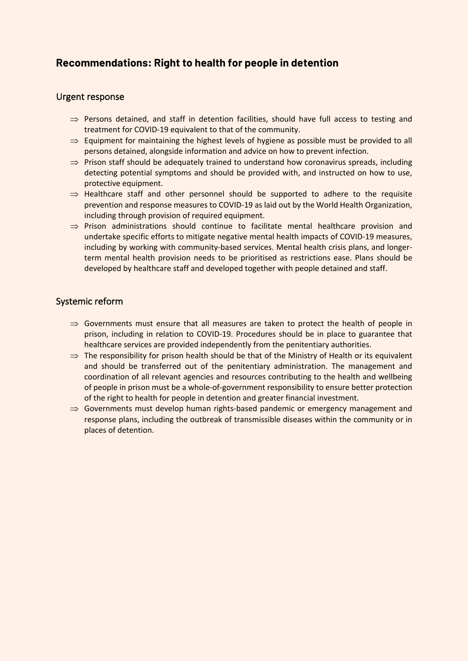### **Recommendations: Right to health for people in detention**

### Urgent response

- $\Rightarrow$  Persons detained, and staff in detention facilities, should have full access to testing and treatment for COVID-19 equivalent to that of the community.
- $\Rightarrow$  Equipment for maintaining the highest levels of hygiene as possible must be provided to all persons detained, alongside information and advice on how to prevent infection.
- $\Rightarrow$  Prison staff should be adequately trained to understand how coronavirus spreads, including detecting potential symptoms and should be provided with, and instructed on how to use, protective equipment.
- $\Rightarrow$  Healthcare staff and other personnel should be supported to adhere to the requisite prevention and response measures to COVID-19 as laid out by the World Health Organization, including through provision of required equipment.
- $\Rightarrow$  Prison administrations should continue to facilitate mental healthcare provision and undertake specific efforts to mitigate negative mental health impacts of COVID-19 measures, including by working with community-based services. Mental health crisis plans, and longerterm mental health provision needs to be prioritised as restrictions ease. Plans should be developed by healthcare staff and developed together with people detained and staff.

### Systemic reform

- $\Rightarrow$  Governments must ensure that all measures are taken to protect the health of people in prison, including in relation to COVID-19. Procedures should be in place to guarantee that healthcare services are provided independently from the penitentiary authorities.
- $\Rightarrow$  The responsibility for prison health should be that of the Ministry of Health or its equivalent and should be transferred out of the penitentiary administration. The management and coordination of all relevant agencies and resources contributing to the health and wellbeing of people in prison must be a whole-of-government responsibility to ensure better protection of the right to health for people in detention and greater financial investment.
- $\Rightarrow$  Governments must develop human rights-based pandemic or emergency management and response plans, including the outbreak of transmissible diseases within the community or in places of detention.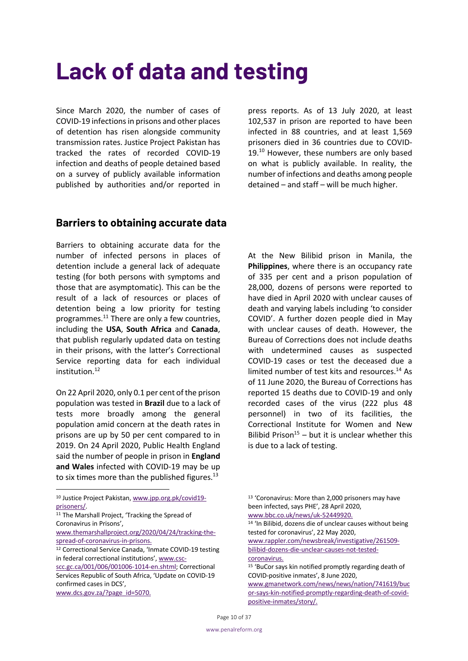### **Lack of data and testing**

Since March 2020, the number of cases of COVID-19 infections in prisons and other places of detention has risen alongside community transmission rates. Justice Project Pakistan has tracked the rates of recorded COVID-19 infection and deaths of people detained based on a survey of publicly available information published by authorities and/or reported in press reports. As of 13 July 2020, at least 102,537 in prison are reported to have been infected in 88 countries, and at least 1,569 prisoners died in 36 countries due to COVID-19. <sup>10</sup> However, these numbers are only based on what is publicly available. In reality, the number of infections and deaths among people detained – and staff – will be much higher.

### **Barriers to obtaining accurate data**

Barriers to obtaining accurate data for the number of infected persons in places of detention include a general lack of adequate testing (for both persons with symptoms and those that are asymptomatic). This can be the result of a lack of resources or places of detention being a low priority for testing programmes. $^{11}$  There are only a few countries, including the **USA**, **South Africa** and **Canada**, that publish regularly updated data on testing in their prisons, with the latter's Correctional Service reporting data for each individual institution.<sup>12</sup>

On 22 April 2020, only 0.1 per cent of the prison population was tested in **Brazil** due to a lack of tests more broadly among the general population amid concern at the death rates in prisons are up by 50 per cent compared to in 2019. On 24 April 2020, Public Health England said the number of people in prison in **England and Wales** infected with COVID-19 may be up to six times more than the published figures. $^{13}$ 

11 The Marshall Project, 'Tracking the Spread of Coronavirus in Prisons',

www.themarshallproject.org/2020/04/24/tracking-thespread-of-coronavirus-in-prisons.

At the New Bilibid prison in Manila, the **Philippines**, where there is an occupancy rate of 335 per cent and a prison population of 28,000, dozens of persons were reported to have died in April 2020 with unclear causes of death and varying labels including 'to consider COVID'. A further dozen people died in May with unclear causes of death. However, the Bureau of Corrections does not include deaths with undetermined causes as suspected COVID-19 cases or test the deceased due a limited number of test kits and resources. $^{14}$  As of 11 June 2020, the Bureau of Corrections has reported 15 deaths due to COVID-19 and only recorded cases of the virus (222 plus 48 personnel) in two of its facilities, the Correctional Institute for Women and New Bilibid Prison<sup>15</sup> – but it is unclear whether this is due to a lack of testing.

<sup>14</sup> 'In Bilibid, dozens die of unclear causes without being tested for coronavirus', 22 May 2020,

www.rappler.com/newsbreak/investigative/261509 bilibid-dozens-die-unclear-causes-not-testedcoronavirus.

<sup>10</sup> Justice Project Pakistan, www.jpp.org.pk/covid19 prisoners/.

<sup>12</sup> Correctional Service Canada, 'Inmate COVID-19 testing in federal correctional institutions', www.csc-

scc.gc.ca/001/006/001006-1014-en.shtml; Correctional Services Republic of South Africa, 'Update on COVID-19 confirmed cases in DCS',

www.dcs.gov.za/?page\_id=5070.

<sup>13</sup> 'Coronavirus: More than 2,000 prisoners may have been infected, says PHE', 28 April 2020, www.bbc.co.uk/news/uk-52449920.

<sup>15</sup> 'BuCor says kin notified promptly regarding death of COVID-positive inmates', 8 June 2020,

www.gmanetwork.com/news/news/nation/741619/buc or-says-kin-notified-promptly-regarding-death-of-covidpositive-inmates/story/.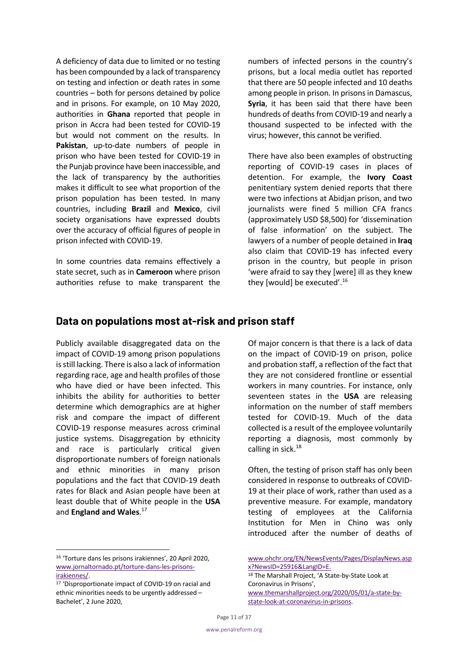A deficiency of data due to limited or no testing has been compounded by a lack of transparency on testing and infection or death rates in some countries – both for persons detained by police and in prisons. For example, on 10 May 2020, authorities in **Ghana** reported that people in prison in Accra had been tested for COVID-19 but would not comment on the results. In **Pakistan**, up-to-date numbers of people in prison who have been tested for COVID-19 in the Punjab province have been inaccessible, and the lack of transparency by the authorities makes it difficult to see what proportion of the prison population has been tested. In many countries, including **Brazil** and **Mexico**, civil society organisations have expressed doubts over the accuracy of official figures of people in prison infected with COVID-19.

In some countries data remains effectively a state secret, such as in **Cameroon** where prison authorities refuse to make transparent the numbers of infected persons in the country's prisons, but a local media outlet has reported that there are 50 people infected and 10 deaths among people in prison. In prisons in Damascus, **Syria**, it has been said that there have been hundreds of deaths from COVID-19 and nearly a thousand suspected to be infected with the virus; however, this cannot be verified.

There have also been examples of obstructing reporting of COVID-19 cases in places of detention. For example, the **Ivory Coast** penitentiary system denied reports that there were two infections at Abidjan prison, and two journalists were fined 5 million CFA francs (approximately USD \$8,500) for 'dissemination of false information' on the subject. The lawyers of a number of people detained in **Iraq** also claim that COVID-19 has infected every prison in the country, but people in prison 'were afraid to say they [were] ill as they knew they [would] be executed'.16

### **Data on populations most at-risk and prison staff**

Publicly available disaggregated data on the impact of COVID-19 among prison populations is still lacking. There is also a lack of information regarding race, age and health profiles of those who have died or have been infected. This inhibits the ability for authorities to better determine which demographics are at higher risk and compare the impact of different COVID-19 response measures across criminal justice systems. Disaggregation by ethnicity and race is particularly critical given disproportionate numbers of foreign nationals and ethnic minorities in many prison populations and the fact that COVID-19 death rates for Black and Asian people have been at least double that of White people in the **USA** and **England and Wales**. 17

Of major concern is that there is a lack of data on the impact of COVID-19 on prison, police and probation staff, a reflection of the fact that they are not considered frontline or essential workers in many countries. For instance, only seventeen states in the **USA** are releasing information on the number of staff members tested for COVID-19. Much of the data collected is a result of the employee voluntarily reporting a diagnosis, most commonly by calling in sick.<sup>18</sup>

Often, the testing of prison staff has only been considered in response to outbreaks of COVID-19 at their place of work, rather than used as a preventive measure. For example, mandatory testing of employees at the California Institution for Men in Chino was only introduced after the number of deaths of

<sup>16</sup> 'Torture dans les prisons irakiennes', 20 April 2020, www.jornaltornado.pt/torture-dans-les-prisonsirakiennes/.

<sup>17</sup> 'Disproportionate impact of COVID-19 on racial and ethnic minorities needs to be urgently addressed – Bachelet', 2 June 2020,

www.ohchr.org/EN/NewsEvents/Pages/DisplayNews.asp x?NewsID=25916&LangID=E.

<sup>18</sup> The Marshall Project, 'A State-by-State Look at Coronavirus in Prisons', www.themarshallproject.org/2020/05/01/a-state-bystate-look-at-coronavirus-in-prisons.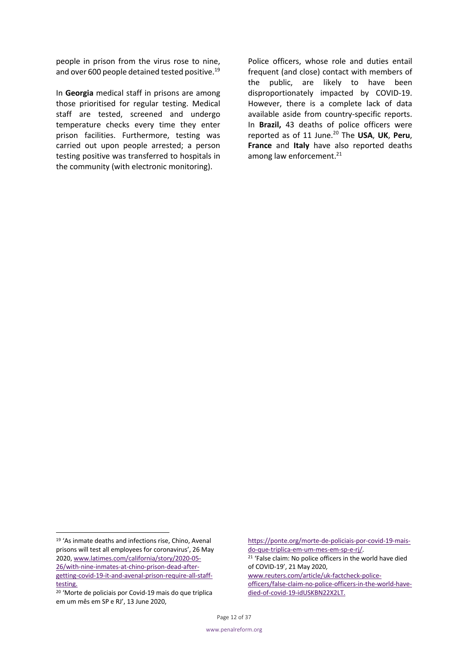people in prison from the virus rose to nine, and over 600 people detained tested positive.<sup>19</sup>

In **Georgia** medical staff in prisons are among those prioritised for regular testing. Medical staff are tested, screened and undergo temperature checks every time they enter prison facilities. Furthermore, testing was carried out upon people arrested; a person testing positive was transferred to hospitals in the community (with electronic monitoring).

Police officers, whose role and duties entail frequent (and close) contact with members of the public, are likely to have been disproportionately impacted by COVID-19. However, there is a complete lack of data available aside from country-specific reports. In **Brazil,** 43 deaths of police officers were reported as of 11 June.20 The **USA**, **UK**, **Peru**, **France** and **Italy** have also reported deaths among law enforcement.<sup>21</sup>

https://ponte.org/morte-de-policiais-por-covid-19-maisdo-que-triplica-em-um-mes-em-sp-e-rj/.

<sup>21</sup> 'False claim: No police officers in the world have died of COVID-19', 21 May 2020,

www.reuters.com/article/uk-factcheck-policeofficers/false-claim-no-police-officers-in-the-world-havedied-of-covid-19-idUSKBN22X2LT.

<sup>19</sup> 'As inmate deaths and infections rise, Chino, Avenal prisons will test all employees for coronavirus', 26 May 2020, www.latimes.com/california/story/2020-05- 26/with-nine-inmates-at-chino-prison-dead-aftergetting-covid-19-it-and-avenal-prison-require-all-stafftesting.

<sup>20</sup> 'Morte de policiais por Covid-19 mais do que triplica em um mês em SP e RJ', 13 June 2020,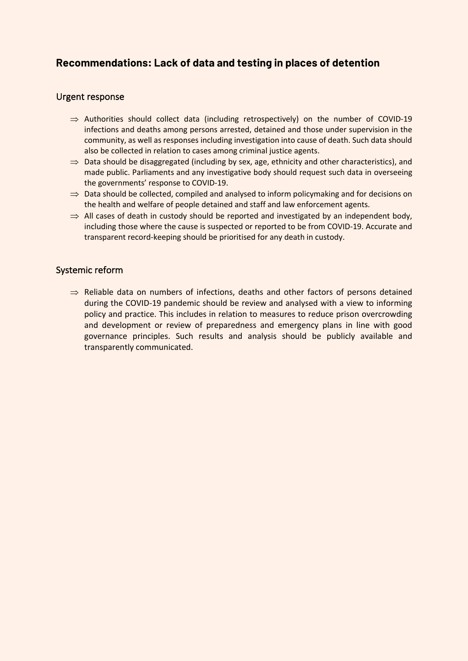### **Recommendations: Lack of data and testing in places of detention**

### Urgent response

- $\Rightarrow$  Authorities should collect data (including retrospectively) on the number of COVID-19 infections and deaths among persons arrested, detained and those under supervision in the community, as well as responses including investigation into cause of death. Such data should also be collected in relation to cases among criminal justice agents.
- $\Rightarrow$  Data should be disaggregated (including by sex, age, ethnicity and other characteristics), and made public. Parliaments and any investigative body should request such data in overseeing the governments' response to COVID-19.
- $\Rightarrow$  Data should be collected, compiled and analysed to inform policymaking and for decisions on the health and welfare of people detained and staff and law enforcement agents.
- $\Rightarrow$  All cases of death in custody should be reported and investigated by an independent body, including those where the cause is suspected or reported to be from COVID-19. Accurate and transparent record-keeping should be prioritised for any death in custody.

### Systemic reform

 $\Rightarrow$  Reliable data on numbers of infections, deaths and other factors of persons detained during the COVID-19 pandemic should be review and analysed with a view to informing policy and practice. This includes in relation to measures to reduce prison overcrowding and development or review of preparedness and emergency plans in line with good governance principles. Such results and analysis should be publicly available and transparently communicated.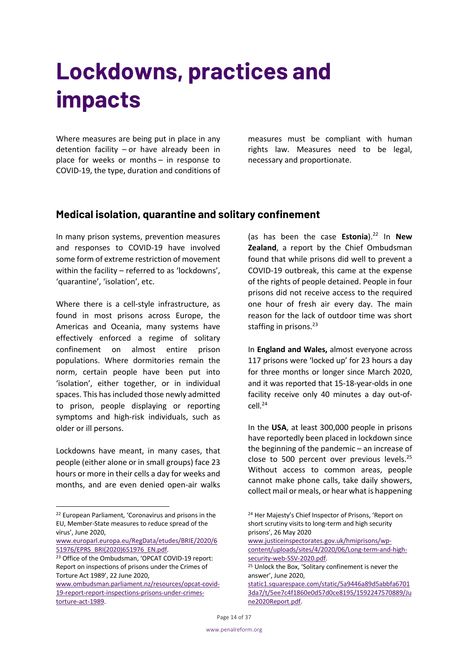### **Lockdowns, practices and impacts**

Where measures are being put in place in any detention facility – or have already been in place for weeks or months – in response to COVID-19, the type, duration and conditions of measures must be compliant with human rights law. Measures need to be legal, necessary and proportionate.

### **Medical isolation, quarantine and solitary confinement**

In many prison systems, prevention measures and responses to COVID-19 have involved some form of extreme restriction of movement within the facility – referred to as 'lockdowns', 'quarantine', 'isolation', etc.

Where there is a cell-style infrastructure, as found in most prisons across Europe, the Americas and Oceania, many systems have effectively enforced a regime of solitary confinement on almost entire prison populations. Where dormitories remain the norm, certain people have been put into 'isolation', either together, or in individual spaces. This has included those newly admitted to prison, people displaying or reporting symptoms and high-risk individuals, such as older or ill persons.

Lockdowns have meant, in many cases, that people (either alone or in small groups) face 23 hours or more in their cells a day for weeks and months, and are even denied open-air walks

www.ombudsman.parliament.nz/resources/opcat-covid-19-report-report-inspections-prisons-under-crimestorture-act-1989.

(as has been the case **Estonia**).22 In **New Zealand**, a report by the Chief Ombudsman found that while prisons did well to prevent a COVID-19 outbreak, this came at the expense of the rights of people detained. People in four prisons did not receive access to the required one hour of fresh air every day. The main reason for the lack of outdoor time was short staffing in prisons. 23

In **England and Wales,** almost everyone across 117 prisons were 'locked up' for 23 hours a day for three months or longer since March 2020, and it was reported that 15-18-year-olds in one facility receive only 40 minutes a day out-of $cell.<sup>24</sup>$ 

In the **USA**, at least 300,000 people in prisons have reportedly been placed in lockdown since the beginning of the pandemic – an increase of close to 500 percent over previous levels.<sup>25</sup> Without access to common areas, people cannot make phone calls, take daily showers, collect mail or meals, or hear what is happening

www.justiceinspectorates.gov.uk/hmiprisons/wpcontent/uploads/sites/4/2020/06/Long-term-and-highsecurity-web-SSV-2020.pdf.

static1.squarespace.com/static/5a9446a89d5abbfa6701 3da7/t/5ee7c4f1860e0d57d0ce8195/1592247570889/Ju ne2020Report.pdf.

<sup>22</sup> European Parliament, 'Coronavirus and prisons in the EU, Member-State measures to reduce spread of the virus', June 2020,

www.europarl.europa.eu/RegData/etudes/BRIE/2020/6

<sup>51976/</sup>EPRS\_BRI(2020)651976\_EN.pdf.<br><sup>23</sup> Office of the Ombudsman, 'OPCAT COVID-19 report: Report on inspections of prisons under the Crimes of Torture Act 1989', 22 June 2020,

<sup>24</sup> Her Majesty's Chief Inspector of Prisons, 'Report on short scrutiny visits to long-term and high security prisons', 26 May 2020

<sup>25</sup> Unlock the Box, 'Solitary confinement is never the answer', June 2020,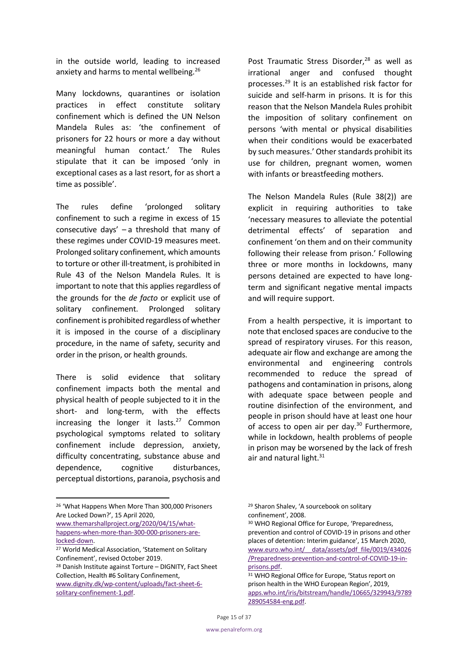in the outside world, leading to increased anxiety and harms to mental wellbeing.<sup>26</sup>

Many lockdowns, quarantines or isolation practices in effect constitute solitary confinement which is defined the UN Nelson Mandela Rules as: 'the confinement of prisoners for 22 hours or more a day without meaningful human contact.' The Rules stipulate that it can be imposed 'only in exceptional cases as a last resort, for as short a time as possible'.

The rules define 'prolonged solitary confinement to such a regime in excess of 15 consecutive days' – a threshold that many of these regimes under COVID-19 measures meet. Prolonged solitary confinement, which amounts to torture or other ill-treatment, is prohibited in Rule 43 of the Nelson Mandela Rules. It is important to note that this applies regardless of the grounds for the *de facto* or explicit use of solitary confinement. Prolonged solitary confinement is prohibited regardless of whether it is imposed in the course of a disciplinary procedure, in the name of safety, security and order in the prison, or health grounds.

There is solid evidence that solitary confinement impacts both the mental and physical health of people subjected to it in the short- and long-term, with the effects increasing the longer it lasts. $27$  Common psychological symptoms related to solitary confinement include depression, anxiety, difficulty concentrating, substance abuse and dependence, cognitive disturbances, perceptual distortions, paranoia, psychosis and

www.themarshallproject.org/2020/04/15/whathappens-when-more-than-300-000-prisoners-arelocked-down.

Post Traumatic Stress Disorder,<sup>28</sup> as well as irrational anger and confused thought processes.29 It is an established risk factor for suicide and self-harm in prisons. It is for this reason that the Nelson Mandela Rules prohibit the imposition of solitary confinement on persons 'with mental or physical disabilities when their conditions would be exacerbated by such measures.' Other standards prohibit its use for children, pregnant women, women with infants or breastfeeding mothers.

The Nelson Mandela Rules (Rule 38(2)) are explicit in requiring authorities to take 'necessary measures to alleviate the potential detrimental effects' of separation and confinement 'on them and on their community following their release from prison.' Following three or more months in lockdowns, many persons detained are expected to have longterm and significant negative mental impacts and will require support.

From a health perspective, it is important to note that enclosed spaces are conducive to the spread of respiratory viruses. For this reason, adequate air flow and exchange are among the environmental and engineering controls recommended to reduce the spread of pathogens and contamination in prisons, along with adequate space between people and routine disinfection of the environment, and people in prison should have at least one hour of access to open air per day.<sup>30</sup> Furthermore, while in lockdown, health problems of people in prison may be worsened by the lack of fresh air and natural light. $31$ 

<sup>30</sup> WHO Regional Office for Europe, 'Preparedness, prevention and control of COVID-19 in prisons and other places of detention: Interim guidance', 15 March 2020, www.euro.who.int/\_\_data/assets/pdf\_file/0019/434026 /Preparedness-prevention-and-control-of-COVID-19-inprisons.pdf.

<sup>26</sup> 'What Happens When More Than 300,000 Prisoners Are Locked Down?', 15 April 2020,

<sup>27</sup> World Medical Association, 'Statement on Solitary Confinement', revised October 2019.

<sup>28</sup> Danish Institute against Torture – DIGNITY, Fact Sheet Collection, Health #6 Solitary Confinement, www.dignity.dk/wp-content/uploads/fact-sheet-6 solitary-confinement-1.pdf.

<sup>29</sup> Sharon Shalev, 'A sourcebook on solitary confinement', 2008.

<sup>31</sup> WHO Regional Office for Europe, 'Status report on prison health in the WHO European Region', 2019, apps.who.int/iris/bitstream/handle/10665/329943/9789 289054584-eng.pdf.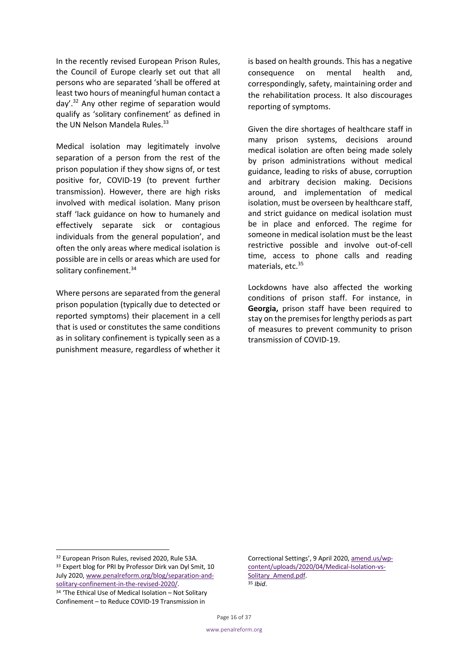In the recently revised European Prison Rules, the Council of Europe clearly set out that all persons who are separated 'shall be offered at least two hours of meaningful human contact a day'.32 Any other regime of separation would qualify as 'solitary confinement' as defined in the UN Nelson Mandela Rules.<sup>33</sup>

Medical isolation may legitimately involve separation of a person from the rest of the prison population if they show signs of, or test positive for, COVID-19 (to prevent further transmission). However, there are high risks involved with medical isolation. Many prison staff 'lack guidance on how to humanely and effectively separate sick or contagious individuals from the general population', and often the only areas where medical isolation is possible are in cells or areas which are used for solitary confinement.<sup>34</sup>

Where persons are separated from the general prison population (typically due to detected or reported symptoms) their placement in a cell that is used or constitutes the same conditions as in solitary confinement is typically seen as a punishment measure, regardless of whether it is based on health grounds. This has a negative consequence on mental health and, correspondingly, safety, maintaining order and the rehabilitation process. It also discourages reporting of symptoms.

Given the dire shortages of healthcare staff in many prison systems, decisions around medical isolation are often being made solely by prison administrations without medical guidance, leading to risks of abuse, corruption and arbitrary decision making. Decisions around, and implementation of medical isolation, must be overseen by healthcare staff, and strict guidance on medical isolation must be in place and enforced. The regime for someone in medical isolation must be the least restrictive possible and involve out-of-cell time, access to phone calls and reading materials, etc.<sup>35</sup>

Lockdowns have also affected the working conditions of prison staff. For instance, in **Georgia,** prison staff have been required to stay on the premises for lengthy periods as part of measures to prevent community to prison transmission of COVID-19.

<sup>32</sup> European Prison Rules, revised 2020, Rule 53A. <sup>33</sup> Expert blog for PRI by Professor Dirk van Dyl Smit, 10 July 2020, www.penalreform.org/blog/separation-andsolitary-confinement-in-the-revised-2020/. 34 'The Ethical Use of Medical Isolation – Not Solitary

Confinement – to Reduce COVID-19 Transmission in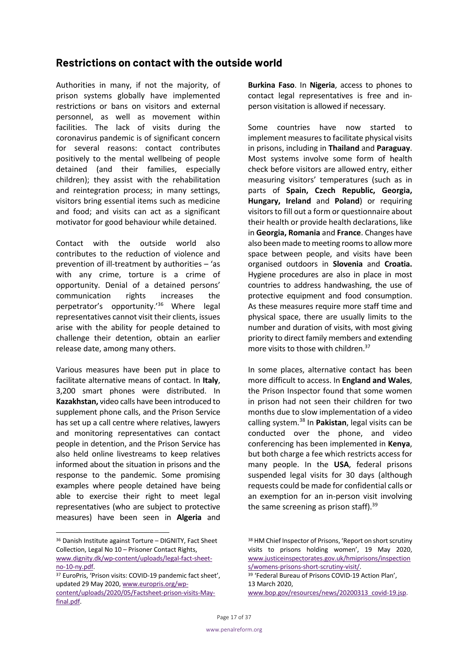### **Restrictions on contact with the outside world**

Authorities in many, if not the majority, of prison systems globally have implemented restrictions or bans on visitors and external personnel, as well as movement within facilities. The lack of visits during the coronavirus pandemic is of significant concern for several reasons: contact contributes positively to the mental wellbeing of people detained (and their families, especially children); they assist with the rehabilitation and reintegration process; in many settings, visitors bring essential items such as medicine and food; and visits can act as a significant motivator for good behaviour while detained.

Contact with the outside world also contributes to the reduction of violence and prevention of ill-treatment by authorities – 'as with any crime, torture is a crime of opportunity. Denial of a detained persons' communication rights increases the perpetrator's opportunity.'36 Where legal representatives cannot visit their clients, issues arise with the ability for people detained to challenge their detention, obtain an earlier release date, among many others.

Various measures have been put in place to facilitate alternative means of contact. In **Italy**, 3,200 smart phones were distributed. In **Kazakhstan,** video calls have been introduced to supplement phone calls, and the Prison Service has set up a call centre where relatives, lawyers and monitoring representatives can contact people in detention, and the Prison Service has also held online livestreams to keep relatives informed about the situation in prisons and the response to the pandemic. Some promising examples where people detained have being able to exercise their right to meet legal representatives (who are subject to protective measures) have been seen in **Algeria** and **Burkina Faso**. In **Nigeria**, access to phones to contact legal representatives is free and inperson visitation is allowed if necessary.

Some countries have now started to implement measures to facilitate physical visits in prisons, including in **Thailand** and **Paraguay**. Most systems involve some form of health check before visitors are allowed entry, either measuring visitors' temperatures (such as in parts of **Spain, Czech Republic, Georgia, Hungary, Ireland** and **Poland**) or requiring visitorsto fill out a form or questionnaire about their health or provide health declarations, like in **Georgia, Romania** and **France**. Changes have also been made to meeting rooms to allow more space between people, and visits have been organised outdoors in **Slovenia** and **Croatia.** Hygiene procedures are also in place in most countries to address handwashing, the use of protective equipment and food consumption. As these measures require more staff time and physical space, there are usually limits to the number and duration of visits, with most giving priority to direct family members and extending more visits to those with children.<sup>37</sup>

In some places, alternative contact has been more difficult to access. In **England and Wales**, the Prison Inspector found that some women in prison had not seen their children for two months due to slow implementation of a video calling system.38 In **Pakistan**, legal visits can be conducted over the phone, and video conferencing has been implemented in **Kenya**, but both charge a fee which restricts access for many people. In the **USA**, federal prisons suspended legal visits for 30 days (although requests could be made for confidential calls or an exemption for an in-person visit involving the same screening as prison staff).<sup>39</sup>

<sup>36</sup> Danish Institute against Torture – DIGNITY, Fact Sheet Collection, Legal No 10 – Prisoner Contact Rights, www.dignity.dk/wp-content/uploads/legal-fact-sheetno-10-ny.pdf.<br><sup>37</sup> EuroPris, 'Prison visits: COVID-19 pandemic fact sheet',

updated 29 May 2020, www.europris.org/wpcontent/uploads/2020/05/Factsheet-prison-visits-Mayfinal.pdf.

<sup>38</sup> HM Chief Inspector of Prisons, 'Report on short scrutiny visits to prisons holding women', 19 May 2020, www.justiceinspectorates.gov.uk/hmiprisons/inspection s/womens-prisons-short-scrutiny-visit/.

<sup>39</sup> 'Federal Bureau of Prisons COVID-19 Action Plan', 13 March 2020, www.bop.gov/resources/news/20200313\_covid-19.jsp.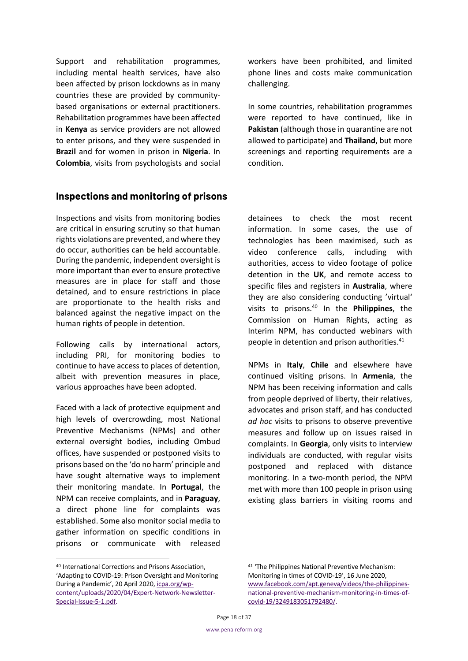Support and rehabilitation programmes, including mental health services, have also been affected by prison lockdowns as in many countries these are provided by communitybased organisations or external practitioners. Rehabilitation programmes have been affected in **Kenya** as service providers are not allowed to enter prisons, and they were suspended in **Brazil** and for women in prison in **Nigeria**. In **Colombia**, visits from psychologists and social workers have been prohibited, and limited phone lines and costs make communication challenging.

In some countries, rehabilitation programmes were reported to have continued, like in **Pakistan** (although those in quarantine are not allowed to participate) and **Thailand**, but more screenings and reporting requirements are a condition.

### **Inspections and monitoring of prisons**

Inspections and visits from monitoring bodies are critical in ensuring scrutiny so that human rights violations are prevented, and where they do occur, authorities can be held accountable. During the pandemic, independent oversight is more important than ever to ensure protective measures are in place for staff and those detained, and to ensure restrictions in place are proportionate to the health risks and balanced against the negative impact on the human rights of people in detention.

Following calls by international actors, including PRI, for monitoring bodies to continue to have access to places of detention, albeit with prevention measures in place, various approaches have been adopted.

Faced with a lack of protective equipment and high levels of overcrowding, most National Preventive Mechanisms (NPMs) and other external oversight bodies, including Ombud offices, have suspended or postponed visits to prisons based on the 'do no harm' principle and have sought alternative ways to implement their monitoring mandate. In **Portugal**, the NPM can receive complaints, and in **Paraguay**, a direct phone line for complaints was established. Some also monitor social media to gather information on specific conditions in prisons or communicate with released detainees to check the most recent information. In some cases, the use of technologies has been maximised, such as video conference calls, including with authorities, access to video footage of police detention in the **UK**, and remote access to specific files and registers in **Australia**, where they are also considering conducting 'virtual' visits to prisons.40 In the **Philippines**, the Commission on Human Rights, acting as Interim NPM, has conducted webinars with people in detention and prison authorities.<sup>41</sup>

NPMs in **Italy**, **Chile** and elsewhere have continued visiting prisons. In **Armenia**, the NPM has been receiving information and calls from people deprived of liberty, their relatives, advocates and prison staff, and has conducted *ad hoc* visits to prisons to observe preventive measures and follow up on issues raised in complaints. In **Georgia**, only visits to interview individuals are conducted, with regular visits postponed and replaced with distance monitoring. In a two-month period, the NPM met with more than 100 people in prison using existing glass barriers in visiting rooms and

<sup>40</sup> International Corrections and Prisons Association, 'Adapting to COVID-19: Prison Oversight and Monitoring During a Pandemic', 20 April 2020, icpa.org/wpcontent/uploads/2020/04/Expert-Network-Newsletter-Special-Issue-5-1.pdf.

<sup>41</sup> 'The Philippines National Preventive Mechanism: Monitoring in times of COVID-19', 16 June 2020, www.facebook.com/apt.geneva/videos/the-philippinesnational-preventive-mechanism-monitoring-in-times-ofcovid-19/3249183051792480/.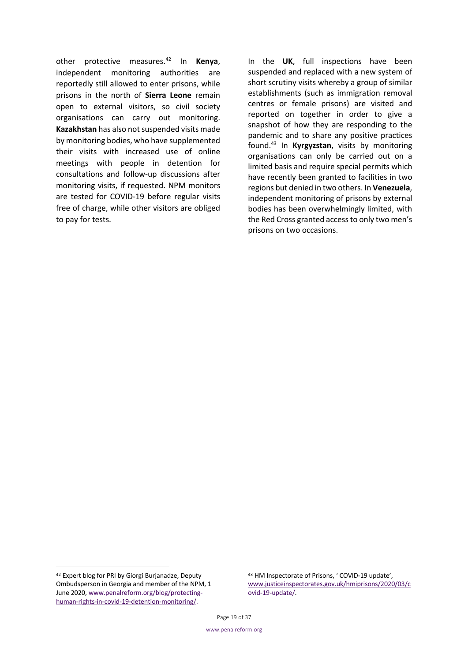other protective measures.42 In **Kenya**, independent monitoring authorities are reportedly still allowed to enter prisons, while prisons in the north of **Sierra Leone** remain open to external visitors, so civil society organisations can carry out monitoring. **Kazakhstan** has also not suspended visits made by monitoring bodies, who have supplemented their visits with increased use of online meetings with people in detention for consultations and follow-up discussions after monitoring visits, if requested. NPM monitors are tested for COVID-19 before regular visits free of charge, while other visitors are obliged to pay for tests.

In the **UK**, full inspections have been suspended and replaced with a new system of short scrutiny visits whereby a group of similar establishments (such as immigration removal centres or female prisons) are visited and reported on together in order to give a snapshot of how they are responding to the pandemic and to share any positive practices found.43 In **Kyrgyzstan**, visits by monitoring organisations can only be carried out on a limited basis and require special permits which have recently been granted to facilities in two regions but denied in two others. In **Venezuela**, independent monitoring of prisons by external bodies has been overwhelmingly limited, with the Red Cross granted access to only two men's prisons on two occasions.

<sup>42</sup> Expert blog for PRI by Giorgi Burjanadze, Deputy Ombudsperson in Georgia and member of the NPM, 1 June 2020, www.penalreform.org/blog/protectinghuman-rights-in-covid-19-detention-monitoring/.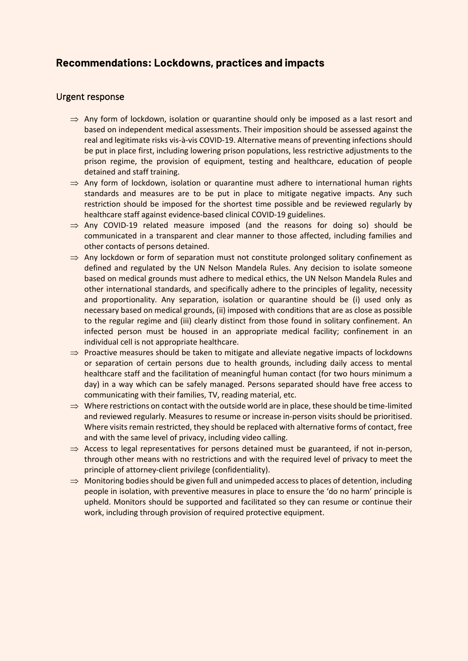### **Recommendations: Lockdowns, practices and impacts**

### Urgent response

- $\Rightarrow$  Any form of lockdown, isolation or quarantine should only be imposed as a last resort and based on independent medical assessments. Their imposition should be assessed against the real and legitimate risks vis-à-vis COVID-19. Alternative means of preventing infections should be put in place first, including lowering prison populations, less restrictive adjustments to the prison regime, the provision of equipment, testing and healthcare, education of people detained and staff training.
- $\Rightarrow$  Any form of lockdown, isolation or quarantine must adhere to international human rights standards and measures are to be put in place to mitigate negative impacts. Any such restriction should be imposed for the shortest time possible and be reviewed regularly by healthcare staff against evidence-based clinical COVID-19 guidelines.
- $\Rightarrow$  Any COVID-19 related measure imposed (and the reasons for doing so) should be communicated in a transparent and clear manner to those affected, including families and other contacts of persons detained.
- $\Rightarrow$  Any lockdown or form of separation must not constitute prolonged solitary confinement as defined and regulated by the UN Nelson Mandela Rules. Any decision to isolate someone based on medical grounds must adhere to medical ethics, the UN Nelson Mandela Rules and other international standards, and specifically adhere to the principles of legality, necessity and proportionality. Any separation, isolation or quarantine should be (i) used only as necessary based on medical grounds, (ii) imposed with conditions that are as close as possible to the regular regime and (iii) clearly distinct from those found in solitary confinement. An infected person must be housed in an appropriate medical facility; confinement in an individual cell is not appropriate healthcare.
- $\Rightarrow$  Proactive measures should be taken to mitigate and alleviate negative impacts of lockdowns or separation of certain persons due to health grounds, including daily access to mental healthcare staff and the facilitation of meaningful human contact (for two hours minimum a day) in a way which can be safely managed. Persons separated should have free access to communicating with their families, TV, reading material, etc.
- $\Rightarrow$  Where restrictions on contact with the outside world are in place, these should be time-limited and reviewed regularly. Measures to resume or increase in-person visits should be prioritised. Where visits remain restricted, they should be replaced with alternative forms of contact, free and with the same level of privacy, including video calling.
- $\Rightarrow$  Access to legal representatives for persons detained must be guaranteed, if not in-person, through other means with no restrictions and with the required level of privacy to meet the principle of attorney-client privilege (confidentiality).
- $\Rightarrow$  Monitoring bodies should be given full and unimpeded access to places of detention, including people in isolation, with preventive measures in place to ensure the 'do no harm' principle is upheld. Monitors should be supported and facilitated so they can resume or continue their work, including through provision of required protective equipment.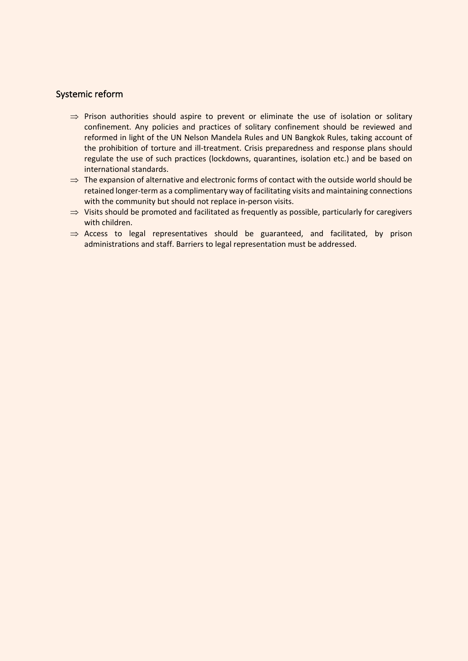#### Systemic reform

- $\Rightarrow$  Prison authorities should aspire to prevent or eliminate the use of isolation or solitary confinement. Any policies and practices of solitary confinement should be reviewed and reformed in light of the UN Nelson Mandela Rules and UN Bangkok Rules, taking account of the prohibition of torture and ill-treatment. Crisis preparedness and response plans should regulate the use of such practices (lockdowns, quarantines, isolation etc.) and be based on international standards.
- $\Rightarrow$  The expansion of alternative and electronic forms of contact with the outside world should be retained longer-term as a complimentary way of facilitating visits and maintaining connections with the community but should not replace in-person visits.
- $\Rightarrow$  Visits should be promoted and facilitated as frequently as possible, particularly for caregivers with children.
- $\Rightarrow$  Access to legal representatives should be guaranteed, and facilitated, by prison administrations and staff. Barriers to legal representation must be addressed.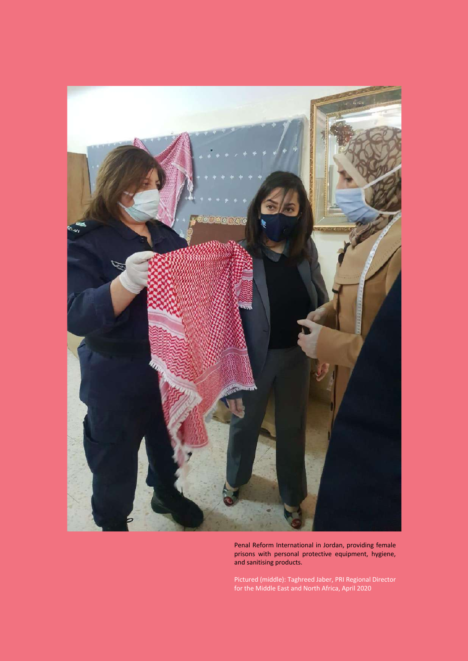

Penal Reform International in Jordan, providing female prisons with personal protective equipment, hygiene, and sanitising products.

Pictured (middle): Taghreed Jaber, PRI Regional Director for the Middle East and North Africa, April 2020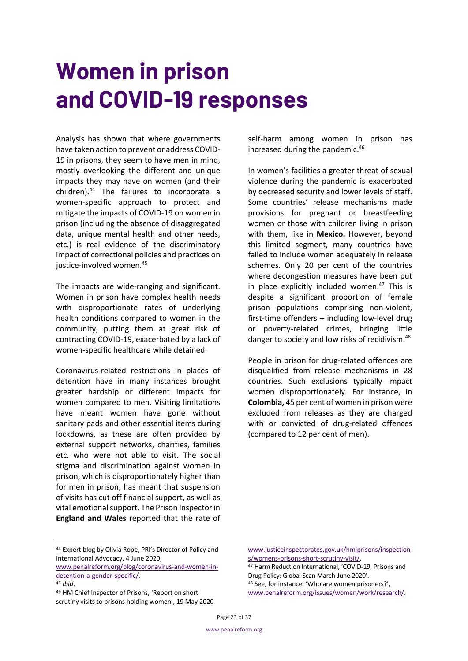### **Women in prison and COVID-19 responses**

Analysis has shown that where governments have taken action to prevent or address COVID-19 in prisons, they seem to have men in mind, mostly overlooking the different and unique impacts they may have on women (and their children).44 The failures to incorporate a women-specific approach to protect and mitigate the impacts of COVID-19 on women in prison (including the absence of disaggregated data, unique mental health and other needs, etc.) is real evidence of the discriminatory impact of correctional policies and practices on justice-involved women.<sup>45</sup>

The impacts are wide-ranging and significant. Women in prison have complex health needs with disproportionate rates of underlying health conditions compared to women in the community, putting them at great risk of contracting COVID-19, exacerbated by a lack of women-specific healthcare while detained.

Coronavirus-related restrictions in places of detention have in many instances brought greater hardship or different impacts for women compared to men. Visiting limitations have meant women have gone without sanitary pads and other essential items during lockdowns, as these are often provided by external support networks, charities, families etc. who were not able to visit. The social stigma and discrimination against women in prison, which is disproportionately higher than for men in prison, has meant that suspension of visits has cut off financial support, as well as vital emotional support. The Prison Inspector in **England and Wales** reported that the rate of self-harm among women in prison has increased during the pandemic.<sup>46</sup>

In women's facilities a greater threat of sexual violence during the pandemic is exacerbated by decreased security and lower levels of staff. Some countries' release mechanisms made provisions for pregnant or breastfeeding women or those with children living in prison with them, like in **Mexico.** However, beyond this limited segment, many countries have failed to include women adequately in release schemes. Only 20 per cent of the countries where decongestion measures have been put in place explicitly included women. $47$  This is despite a significant proportion of female prison populations comprising non-violent, first-time offenders – including low-level drug or poverty-related crimes, bringing little danger to society and low risks of recidivism.<sup>48</sup>

People in prison for drug-related offences are disqualified from release mechanisms in 28 countries. Such exclusions typically impact women disproportionately. For instance, in **Colombia,** 45 per cent of women in prison were excluded from releases as they are charged with or convicted of drug-related offences (compared to 12 per cent of men).

detention-a-gender-specific/.

www.justiceinspectorates.gov.uk/hmiprisons/inspection s/womens-prisons-short-scrutiny-visit/.

<sup>47</sup> Harm Reduction International, 'COVID-19, Prisons and Drug Policy: Global Scan March-June 2020'. <sup>48</sup> See, for instance, 'Who are women prisoners?', www.penalreform.org/issues/women/work/research/.

<sup>44</sup> Expert blog by Olivia Rope, PRI's Director of Policy and International Advocacy, 4 June 2020, www.penalreform.org/blog/coronavirus-and-women-in-

<sup>45</sup> *Ibid*. 46 HM Chief Inspector of Prisons, 'Report on short scrutiny visits to prisons holding women', 19 May 2020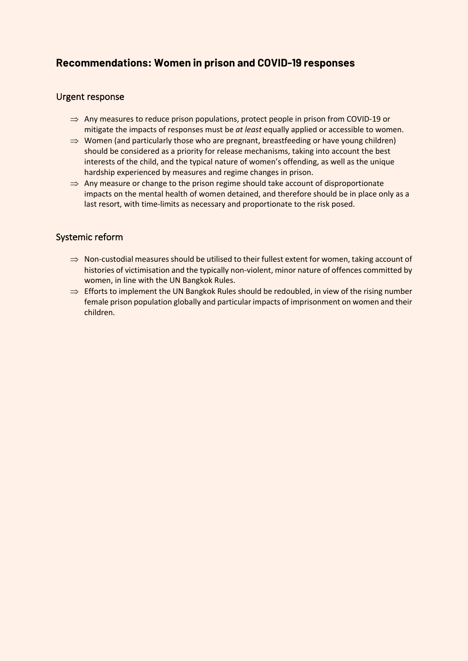### **Recommendations: Women in prison and COVID-19 responses**

### Urgent response

- $\Rightarrow$  Any measures to reduce prison populations, protect people in prison from COVID-19 or mitigate the impacts of responses must be *at least* equally applied or accessible to women.
- $\Rightarrow$  Women (and particularly those who are pregnant, breastfeeding or have young children) should be considered as a priority for release mechanisms, taking into account the best interests of the child, and the typical nature of women's offending, as well as the unique hardship experienced by measures and regime changes in prison.
- $\Rightarrow$  Any measure or change to the prison regime should take account of disproportionate impacts on the mental health of women detained, and therefore should be in place only as a last resort, with time-limits as necessary and proportionate to the risk posed.

### Systemic reform

- $\Rightarrow$  Non-custodial measures should be utilised to their fullest extent for women, taking account of histories of victimisation and the typically non-violent, minor nature of offences committed by women, in line with the UN Bangkok Rules.
- $\Rightarrow$  Efforts to implement the UN Bangkok Rules should be redoubled, in view of the rising number female prison population globally and particular impacts of imprisonment on women and their children.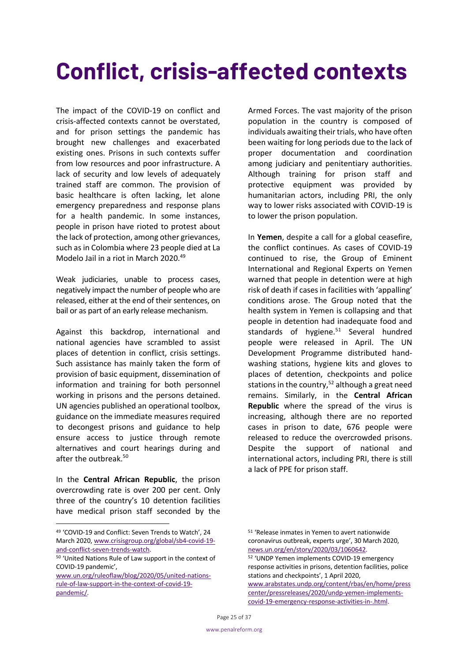### **Conflict, crisis-affected contexts**

The impact of the COVID-19 on conflict and crisis-affected contexts cannot be overstated, and for prison settings the pandemic has brought new challenges and exacerbated existing ones. Prisons in such contexts suffer from low resources and poor infrastructure. A lack of security and low levels of adequately trained staff are common. The provision of basic healthcare is often lacking, let alone emergency preparedness and response plans for a health pandemic. In some instances, people in prison have rioted to protest about the lack of protection, among other grievances, such as in Colombia where 23 people died at La Modelo Jail in a riot in March 2020. 49

Weak judiciaries, unable to process cases, negatively impact the number of people who are released, either at the end of their sentences, on bail or as part of an early release mechanism.

Against this backdrop, international and national agencies have scrambled to assist places of detention in conflict, crisis settings. Such assistance has mainly taken the form of provision of basic equipment, dissemination of information and training for both personnel working in prisons and the persons detained. UN agencies published an operational toolbox, guidance on the immediate measures required to decongest prisons and guidance to help ensure access to justice through remote alternatives and court hearings during and after the outbreak.<sup>50</sup>

In the **Central African Republic**, the prison overcrowding rate is over 200 per cent. Only three of the country's 10 detention facilities have medical prison staff seconded by the

Armed Forces. The vast majority of the prison population in the country is composed of individuals awaiting their trials, who have often been waiting for long periods due to the lack of proper documentation and coordination among judiciary and penitentiary authorities. Although training for prison staff and protective equipment was provided by humanitarian actors, including PRI, the only way to lower risks associated with COVID-19 is to lower the prison population.

In **Yemen**, despite a call for a global ceasefire, the conflict continues. As cases of COVID-19 continued to rise, the Group of Eminent International and Regional Experts on Yemen warned that people in detention were at high risk of death if cases in facilities with 'appalling' conditions arose. The Group noted that the health system in Yemen is collapsing and that people in detention had inadequate food and standards of hygiene. $51$  Several hundred people were released in April. The UN Development Programme distributed handwashing stations, hygiene kits and gloves to places of detention, checkpoints and police stations in the country,  $52$  although a great need remains. Similarly, in the **Central African Republic** where the spread of the virus is increasing, although there are no reported cases in prison to date, 676 people were released to reduce the overcrowded prisons. Despite the support of national and international actors, including PRI, there is still a lack of PPE for prison staff.

<sup>49</sup> 'COVID-19 and Conflict: Seven Trends to Watch', 24 March 2020, www.crisisgroup.org/global/sb4-covid-19 and-conflict-seven-trends-watch.

<sup>50</sup> 'United Nations Rule of Law support in the context of COVID-19 pandemic',

www.un.org/ruleoflaw/blog/2020/05/united-nationsrule-of-law-support-in-the-context-of-covid-19 pandemic/.

<sup>51</sup> 'Release inmates in Yemen to avert nationwide coronavirus outbreak, experts urge', 30 March 2020, news.un.org/en/story/2020/03/1060642. <sup>52</sup> 'UNDP Yemen implements COVID-19 emergency response activities in prisons, detention facilities, police stations and checkpoints', 1 April 2020, www.arabstates.undp.org/content/rbas/en/home/press center/pressreleases/2020/undp-yemen-implementscovid-19-emergency-response-activities-in-.html.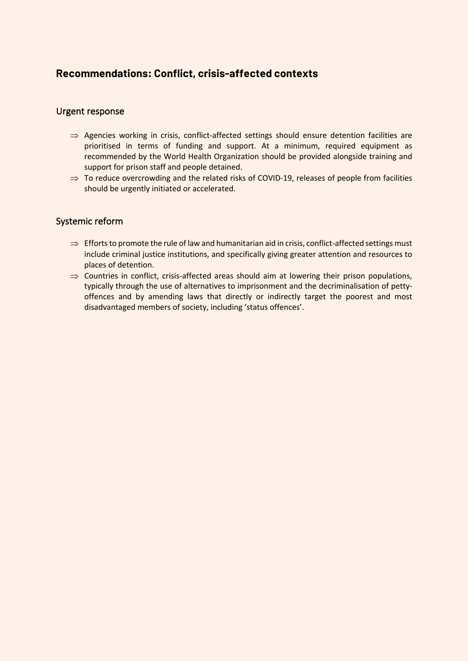### **Recommendations: Conflict, crisis-affected contexts**

#### Urgent response

- $\Rightarrow$  Agencies working in crisis, conflict-affected settings should ensure detention facilities are prioritised in terms of funding and support. At a minimum, required equipment as recommended by the World Health Organization should be provided alongside training and support for prison staff and people detained.
- $\Rightarrow$  To reduce overcrowding and the related risks of COVID-19, releases of people from facilities should be urgently initiated or accelerated.

### Systemic reform

- $\Rightarrow$  Efforts to promote the rule of law and humanitarian aid in crisis, conflict-affected settings must include criminal justice institutions, and specifically giving greater attention and resources to places of detention.
- $\Rightarrow$  Countries in conflict, crisis-affected areas should aim at lowering their prison populations, typically through the use of alternatives to imprisonment and the decriminalisation of pettyoffences and by amending laws that directly or indirectly target the poorest and most disadvantaged members of society, including 'status offences'.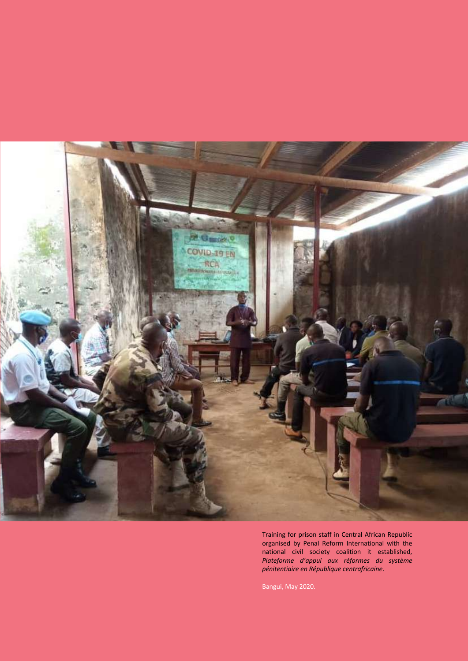

Training for prison staff in Central African Republic organised by Penal Reform International with the national civil society coalition it established, *Plateforme d'appui aux réformes du système pénitentiaire en République centrafricaine*.

Bangui, May 2020.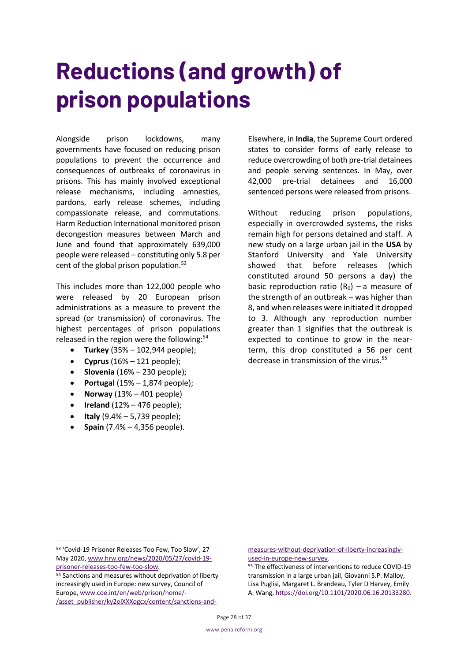### **Reductions (and growth) of prison populations**

Alongside prison lockdowns, many governments have focused on reducing prison populations to prevent the occurrence and consequences of outbreaks of coronavirus in prisons. This has mainly involved exceptional release mechanisms, including amnesties, pardons, early release schemes, including compassionate release, and commutations. Harm Reduction International monitored prison decongestion measures between March and June and found that approximately 639,000 people were released – constituting only 5.8 per cent of the global prison population. $53$ 

This includes more than 122,000 people who were released by 20 European prison administrations as a measure to prevent the spread (or transmission) of coronavirus. The highest percentages of prison populations released in the region were the following:<sup>54</sup>

- **Turkey** (35% 102,944 people);
- **Cyprus** (16% 121 people);
- **Slovenia** (16% 230 people);
- **Portugal** (15% 1,874 people);
- **Norway** (13% 401 people)
- **Ireland** (12% 476 people);
- **Italy** (9.4% 5,739 people);
- **Spain** (7.4% 4,356 people).

Elsewhere, in **India**, the Supreme Court ordered states to consider forms of early release to reduce overcrowding of both pre-trial detainees and people serving sentences. In May, over 42,000 pre-trial detainees and 16,000 sentenced persons were released from prisons.

Without reducing prison populations, especially in overcrowded systems, the risks remain high for persons detained and staff. A new study on a large urban jail in the **USA** by Stanford University and Yale University showed that before releases (which constituted around 50 persons a day) the basic reproduction ratio  $(R_0)$  – a measure of the strength of an outbreak – was higher than 8, and when releases were initiated it dropped to 3. Although any reproduction number greater than 1 signifies that the outbreak is expected to continue to grow in the nearterm, this drop constituted a 56 per cent decrease in transmission of the virus.<sup>55</sup>

measures-without-deprivation-of-liberty-increasinglyused-in-europe-new-survey.

<sup>55</sup> The effectiveness of interventions to reduce COVID-19 transmission in a large urban jail, Giovanni S.P. Malloy, Lisa Puglisi, Margaret L. Brandeau, Tyler D Harvey, Emily A. Wang, https://doi.org/10.1101/2020.06.16.20133280.

<sup>53</sup> 'Covid-19 Prisoner Releases Too Few, Too Slow', 27 May 2020, www.hrw.org/news/2020/05/27/covid-19 prisoner-releases-too-few-too-slow.

<sup>54</sup> Sanctions and measures without deprivation of liberty increasingly used in Europe: new survey, Council of Europe, www.coe.int/en/web/prison/home/- /asset\_publisher/ky2olXXXogcx/content/sanctions-and-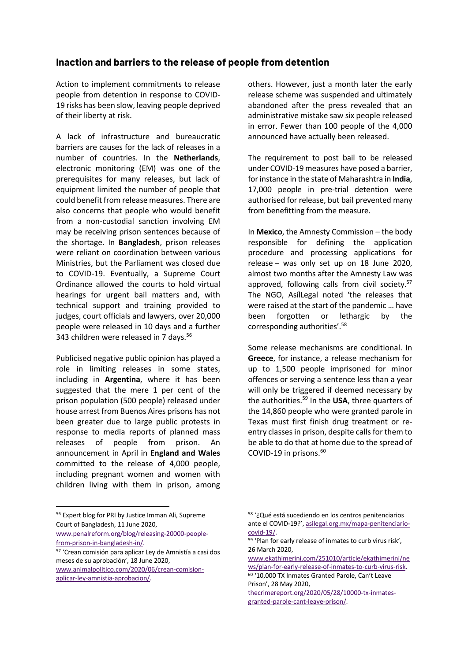### **Inaction and barriers to the release of people from detention**

Action to implement commitments to release people from detention in response to COVID-19 risks has been slow, leaving people deprived of their liberty at risk.

A lack of infrastructure and bureaucratic barriers are causes for the lack of releases in a number of countries. In the **Netherlands**, electronic monitoring (EM) was one of the prerequisites for many releases, but lack of equipment limited the number of people that could benefit from release measures. There are also concerns that people who would benefit from a non-custodial sanction involving EM may be receiving prison sentences because of the shortage. In **Bangladesh**, prison releases were reliant on coordination between various Ministries, but the Parliament was closed due to COVID-19. Eventually, a Supreme Court Ordinance allowed the courts to hold virtual hearings for urgent bail matters and, with technical support and training provided to judges, court officials and lawyers, over 20,000 people were released in 10 days and a further 343 children were released in 7 days.<sup>56</sup>

Publicised negative public opinion has played a role in limiting releases in some states, including in **Argentina**, where it has been suggested that the mere 1 per cent of the prison population (500 people) released under house arrest from Buenos Aires prisons has not been greater due to large public protests in response to media reports of planned mass releases of people from prison. An announcement in April in **England and Wales**  committed to the release of 4,000 people, including pregnant women and women with children living with them in prison, among others. However, just a month later the early release scheme was suspended and ultimately abandoned after the press revealed that an administrative mistake saw six people released in error. Fewer than 100 people of the 4,000 announced have actually been released.

The requirement to post bail to be released under COVID-19 measures have posed a barrier, for instance in the state of Maharashtra in **India**, 17,000 people in pre-trial detention were authorised for release, but bail prevented many from benefitting from the measure.

In **Mexico**, the Amnesty Commission – the body responsible for defining the application procedure and processing applications for release – was only set up on 18 June 2020, almost two months after the Amnesty Law was approved, following calls from civil society.<sup>57</sup> The NGO, AsílLegal noted 'the releases that were raised at the start of the pandemic … have been forgotten or lethargic by the corresponding authorities'.<sup>58</sup>

Some release mechanisms are conditional. In **Greece**, for instance, a release mechanism for up to 1,500 people imprisoned for minor offences or serving a sentence less than a year will only be triggered if deemed necessary by the authorities.59 In the **USA**, three quarters of the 14,860 people who were granted parole in Texas must first finish drug treatment or reentry classes in prison, despite calls for them to be able to do that at home due to the spread of COVID-19 in prisons. 60

www.penalreform.org/blog/releasing-20000-peoplefrom-prison-in-bangladesh-in/.

Prison', 28 May 2020, thecrimereport.org/2020/05/28/10000-tx-inmates-

granted-parole-cant-leave-prison/.

<sup>56</sup> Expert blog for PRI by Justice Imman Ali, Supreme Court of Bangladesh, 11 June 2020,

<sup>57</sup> 'Crean comisión para aplicar Ley de Amnistía a casi dos meses de su aprobación', 18 June 2020, www.animalpolitico.com/2020/06/crean-comision-

aplicar-ley-amnistia-aprobacion/.

<sup>58</sup> '¿Qué está sucediendo en los centros penitenciarios ante el COVID-19?', asilegal.org.mx/mapa-penitenciariocovid-19/.

<sup>59</sup> 'Plan for early release of inmates to curb virus risk', 26 March 2020,

www.ekathimerini.com/251010/article/ekathimerini/ne ws/plan-for-early-release-of-inmates-to-curb-virus-risk. <sup>60</sup> '10,000 TX Inmates Granted Parole, Can't Leave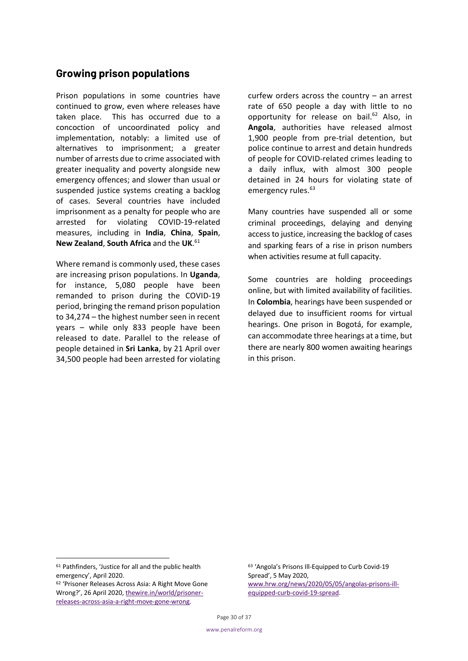### **Growing prison populations**

Prison populations in some countries have continued to grow, even where releases have taken place. This has occurred due to a concoction of uncoordinated policy and implementation, notably: a limited use of alternatives to imprisonment; a greater number of arrests due to crime associated with greater inequality and poverty alongside new emergency offences; and slower than usual or suspended justice systems creating a backlog of cases. Several countries have included imprisonment as a penalty for people who are arrested for violating COVID-19-related measures, including in **India**, **China**, **Spain**, **New Zealand**, **South Africa** and the **UK**. 61

Where remand is commonly used, these cases are increasing prison populations. In **Uganda**, for instance, 5,080 people have been remanded to prison during the COVID-19 period, bringing the remand prison population to 34,274 – the highest number seen in recent years – while only 833 people have been released to date. Parallel to the release of people detained in **Sri Lanka**, by 21 April over 34,500 people had been arrested for violating curfew orders across the country – an arrest rate of 650 people a day with little to no opportunity for release on bail.<sup>62</sup> Also, in **Angola**, authorities have released almost 1,900 people from pre-trial detention, but police continue to arrest and detain hundreds of people for COVID-related crimes leading to a daily influx, with almost 300 people detained in 24 hours for violating state of emergency rules.<sup>63</sup>

Many countries have suspended all or some criminal proceedings, delaying and denying access to justice, increasing the backlog of cases and sparking fears of a rise in prison numbers when activities resume at full capacity.

Some countries are holding proceedings online, but with limited availability of facilities. In **Colombia**, hearings have been suspended or delayed due to insufficient rooms for virtual hearings. One prison in Bogotá, for example, can accommodate three hearings at a time, but there are nearly 800 women awaiting hearings in this prison.

<sup>61</sup> Pathfinders, 'Justice for all and the public health emergency', April 2020.<br><sup>62</sup> 'Prisoner Releases Across Asia: A Right Move Gone

Wrong?', 26 April 2020, thewire.in/world/prisonerreleases-across-asia-a-right-move-gone-wrong.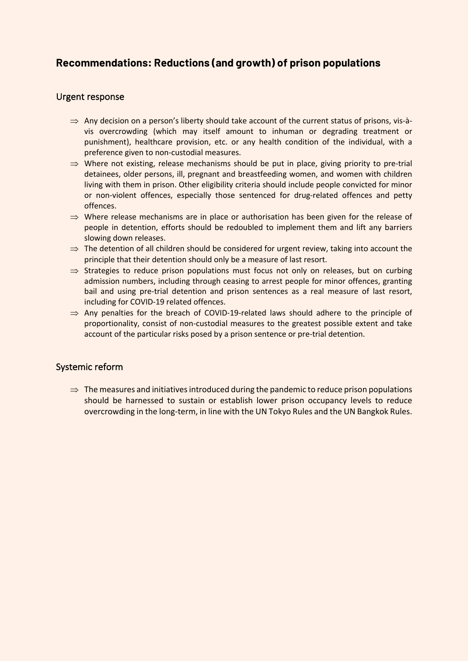### **Recommendations: Reductions (and growth) of prison populations**

### Urgent response

- $\Rightarrow$  Any decision on a person's liberty should take account of the current status of prisons, vis-àvis overcrowding (which may itself amount to inhuman or degrading treatment or punishment), healthcare provision, etc. or any health condition of the individual, with a preference given to non-custodial measures.
- $\Rightarrow$  Where not existing, release mechanisms should be put in place, giving priority to pre-trial detainees, older persons, ill, pregnant and breastfeeding women, and women with children living with them in prison. Other eligibility criteria should include people convicted for minor or non-violent offences, especially those sentenced for drug-related offences and petty offences.
- $\Rightarrow$  Where release mechanisms are in place or authorisation has been given for the release of people in detention, efforts should be redoubled to implement them and lift any barriers slowing down releases.
- $\Rightarrow$  The detention of all children should be considered for urgent review, taking into account the principle that their detention should only be a measure of last resort.
- $\Rightarrow$  Strategies to reduce prison populations must focus not only on releases, but on curbing admission numbers, including through ceasing to arrest people for minor offences, granting bail and using pre-trial detention and prison sentences as a real measure of last resort, including for COVID-19 related offences.
- $\Rightarrow$  Any penalties for the breach of COVID-19-related laws should adhere to the principle of proportionality, consist of non-custodial measures to the greatest possible extent and take account of the particular risks posed by a prison sentence or pre-trial detention.

#### Systemic reform

 $\Rightarrow$  The measures and initiatives introduced during the pandemic to reduce prison populations should be harnessed to sustain or establish lower prison occupancy levels to reduce overcrowding in the long-term, in line with the UN Tokyo Rules and the UN Bangkok Rules.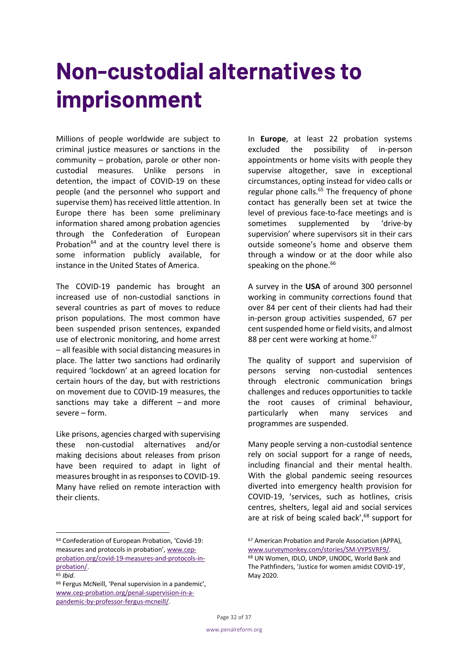### **Non-custodial alternatives to imprisonment**

Millions of people worldwide are subject to criminal justice measures or sanctions in the community – probation, parole or other noncustodial measures. Unlike persons in detention, the impact of COVID-19 on these people (and the personnel who support and supervise them) has received little attention. In Europe there has been some preliminary information shared among probation agencies through the Confederation of European Probation<sup>64</sup> and at the country level there is some information publicly available, for instance in the United States of America.

The COVID-19 pandemic has brought an increased use of non-custodial sanctions in several countries as part of moves to reduce prison populations. The most common have been suspended prison sentences, expanded use of electronic monitoring, and home arrest – all feasible with social distancing measures in place. The latter two sanctions had ordinarily required 'lockdown' at an agreed location for certain hours of the day, but with restrictions on movement due to COVID-19 measures, the sanctions may take a different – and more severe – form.

Like prisons, agencies charged with supervising these non-custodial alternatives and/or making decisions about releases from prison have been required to adapt in light of measures brought in as responses to COVID-19. Many have relied on remote interaction with their clients.

In **Europe**, at least 22 probation systems excluded the possibility of in-person appointments or home visits with people they supervise altogether, save in exceptional circumstances, opting instead for video calls or regular phone calls.<sup>65</sup> The frequency of phone contact has generally been set at twice the level of previous face-to-face meetings and is sometimes supplemented by 'drive-by supervision' where supervisors sit in their cars outside someone's home and observe them through a window or at the door while also speaking on the phone.<sup>66</sup>

A survey in the **USA** of around 300 personnel working in community corrections found that over 84 per cent of their clients had had their in-person group activities suspended, 67 per cent suspended home or field visits, and almost 88 per cent were working at home.<sup>67</sup>

The quality of support and supervision of persons serving non-custodial sentences through electronic communication brings challenges and reduces opportunities to tackle the root causes of criminal behaviour, particularly when many services and programmes are suspended.

Many people serving a non-custodial sentence rely on social support for a range of needs, including financial and their mental health. With the global pandemic seeing resources diverted into emergency health provision for COVID-19, 'services, such as hotlines, crisis centres, shelters, legal aid and social services are at risk of being scaled back',<sup>68</sup> support for

<sup>64</sup> Confederation of European Probation, 'Covid-19: measures and protocols in probation', www.cepprobation.org/covid-19-measures-and-protocols-inprobation/.

<sup>65</sup> *Ibid*.

<sup>66</sup> Fergus McNeill, 'Penal supervision in a pandemic', www.cep-probation.org/penal-supervision-in-apandemic-by-professor-fergus-mcneill/.

<sup>67</sup> American Probation and Parole Association (APPA), www.surveymonkey.com/stories/SM-VYPSVRF9/.<br><sup>68</sup> UN Women, IDLO, UNDP, UNODC, World Bank and The Pathfinders, 'Justice for women amidst COVID-19', May 2020.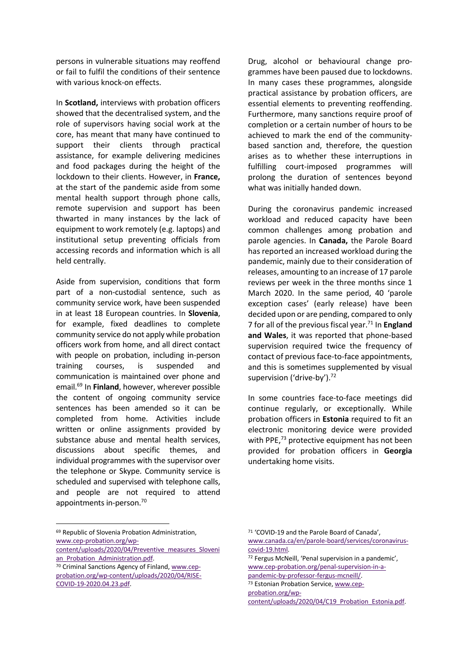persons in vulnerable situations may reoffend or fail to fulfil the conditions of their sentence with various knock-on effects.

In **Scotland,** interviews with probation officers showed that the decentralised system, and the role of supervisors having social work at the core, has meant that many have continued to support their clients through practical assistance, for example delivering medicines and food packages during the height of the lockdown to their clients. However, in **France,** at the start of the pandemic aside from some mental health support through phone calls, remote supervision and support has been thwarted in many instances by the lack of equipment to work remotely (e.g. laptops) and institutional setup preventing officials from accessing records and information which is all held centrally.

Aside from supervision, conditions that form part of a non-custodial sentence, such as community service work, have been suspended in at least 18 European countries. In **Slovenia**, for example, fixed deadlines to complete community service do not apply while probation officers work from home, and all direct contact with people on probation, including in-person training courses, is suspended and communication is maintained over phone and email.69 In **Finland**, however, wherever possible the content of ongoing community service sentences has been amended so it can be completed from home. Activities include written or online assignments provided by substance abuse and mental health services, discussions about specific themes, and individual programmes with the supervisor over the telephone or Skype. Community service is scheduled and supervised with telephone calls, and people are not required to attend appointments in-person. 70

Drug, alcohol or behavioural change programmes have been paused due to lockdowns. In many cases these programmes, alongside practical assistance by probation officers, are essential elements to preventing reoffending. Furthermore, many sanctions require proof of completion or a certain number of hours to be achieved to mark the end of the communitybased sanction and, therefore, the question arises as to whether these interruptions in fulfilling court-imposed programmes will prolong the duration of sentences beyond what was initially handed down.

During the coronavirus pandemic increased workload and reduced capacity have been common challenges among probation and parole agencies. In **Canada,** the Parole Board has reported an increased workload during the pandemic, mainly due to their consideration of releases, amounting to an increase of 17 parole reviews per week in the three months since 1 March 2020. In the same period, 40 'parole exception cases' (early release) have been decided upon or are pending, compared to only 7 for all of the previous fiscal year.71 In **England and Wales**, it was reported that phone-based supervision required twice the frequency of contact of previous face-to-face appointments, and this is sometimes supplemented by visual supervision ('drive-by').<sup>72</sup>

In some countries face-to-face meetings did continue regularly, or exceptionally. While probation officers in **Estonia** required to fit an electronic monitoring device were provided with PPE,<sup>73</sup> protective equipment has not been provided for probation officers in **Georgia**  undertaking home visits.

probation.org/wp-

<sup>69</sup> Republic of Slovenia Probation Administration, www.cep-probation.org/wp-

content/uploads/2020/04/Preventive\_measures\_Sloveni an Probation Administration.pdf.

<sup>70</sup> Criminal Sanctions Agency of Finland, www.cepprobation.org/wp-content/uploads/2020/04/RISE-COVID-19-2020.04.23.pdf.

<sup>71</sup> 'COVID-19 and the Parole Board of Canada', www.canada.ca/en/parole-board/services/coronaviruscovid-19.html.

<sup>72</sup> Fergus McNeill, 'Penal supervision in a pandemic', www.cep-probation.org/penal-supervision-in-apandemic-by-professor-fergus-mcneill/. <sup>73</sup> Estonian Probation Service, www.cep-

content/uploads/2020/04/C19\_Probation\_Estonia.pdf.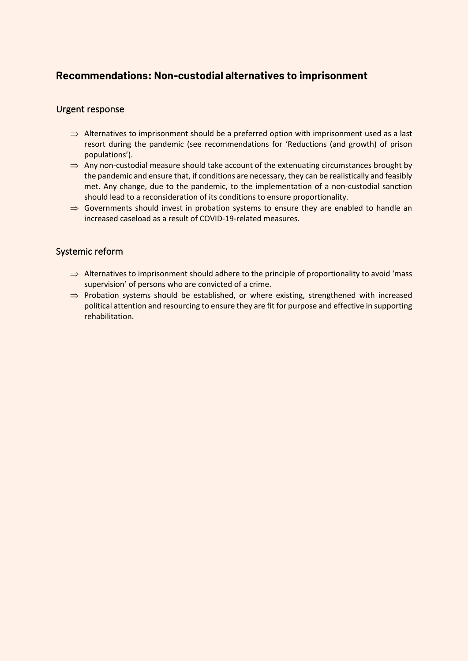### **Recommendations: Non-custodial alternatives to imprisonment**

### Urgent response

- $\Rightarrow$  Alternatives to imprisonment should be a preferred option with imprisonment used as a last resort during the pandemic (see recommendations for 'Reductions (and growth) of prison populations').
- $\Rightarrow$  Any non-custodial measure should take account of the extenuating circumstances brought by the pandemic and ensure that, if conditions are necessary, they can be realistically and feasibly met. Any change, due to the pandemic, to the implementation of a non-custodial sanction should lead to a reconsideration of its conditions to ensure proportionality.
- $\Rightarrow$  Governments should invest in probation systems to ensure they are enabled to handle an increased caseload as a result of COVID-19-related measures.

### Systemic reform

- $\Rightarrow$  Alternatives to imprisonment should adhere to the principle of proportionality to avoid 'mass supervision' of persons who are convicted of a crime.
- $\Rightarrow$  Probation systems should be established, or where existing, strengthened with increased political attention and resourcing to ensure they are fit for purpose and effective in supporting rehabilitation.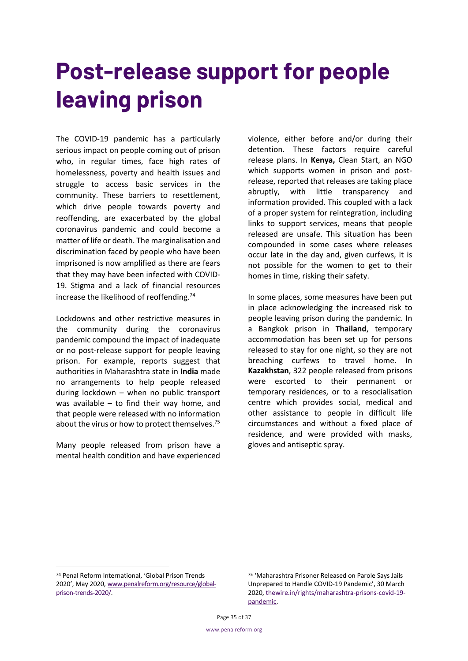### **Post-release support for people leaving prison**

The COVID-19 pandemic has a particularly serious impact on people coming out of prison who, in regular times, face high rates of homelessness, poverty and health issues and struggle to access basic services in the community. These barriers to resettlement, which drive people towards poverty and reoffending, are exacerbated by the global coronavirus pandemic and could become a matter of life or death. The marginalisation and discrimination faced by people who have been imprisoned is now amplified as there are fears that they may have been infected with COVID-19. Stigma and a lack of financial resources increase the likelihood of reoffending.74

Lockdowns and other restrictive measures in the community during the coronavirus pandemic compound the impact of inadequate or no post-release support for people leaving prison. For example, reports suggest that authorities in Maharashtra state in **India** made no arrangements to help people released during lockdown – when no public transport was available – to find their way home, and that people were released with no information about the virus or how to protect themselves.<sup>75</sup>

Many people released from prison have a mental health condition and have experienced

violence, either before and/or during their detention. These factors require careful release plans. In **Kenya,** Clean Start, an NGO which supports women in prison and postrelease, reported that releases are taking place abruptly, with little transparency and information provided. This coupled with a lack of a proper system for reintegration, including links to support services, means that people released are unsafe. This situation has been compounded in some cases where releases occur late in the day and, given curfews, it is not possible for the women to get to their homes in time, risking their safety.

In some places, some measures have been put in place acknowledging the increased risk to people leaving prison during the pandemic. In a Bangkok prison in **Thailand**, temporary accommodation has been set up for persons released to stay for one night, so they are not breaching curfews to travel home. In **Kazakhstan**, 322 people released from prisons were escorted to their permanent or temporary residences, or to a resocialisation centre which provides social, medical and other assistance to people in difficult life circumstances and without a fixed place of residence, and were provided with masks, gloves and antiseptic spray.

<sup>74</sup> Penal Reform International, 'Global Prison Trends 2020', May 2020, www.penalreform.org/resource/globalprison-trends-2020/.

<sup>75</sup> 'Maharashtra Prisoner Released on Parole Says Jails Unprepared to Handle COVID-19 Pandemic', 30 March 2020, thewire.in/rights/maharashtra-prisons-covid-19 pandemic.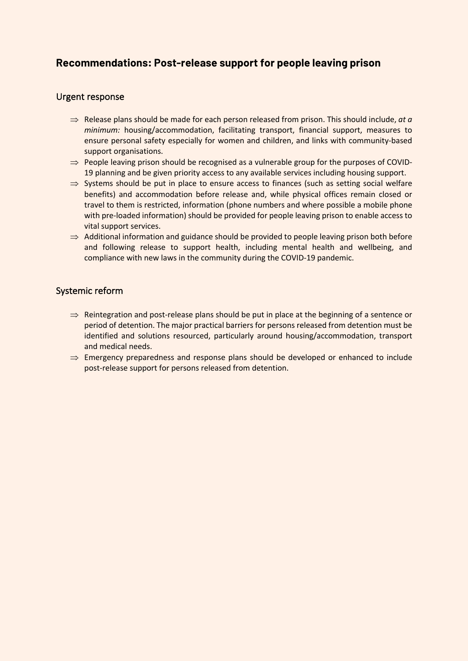### **Recommendations: Post-release support for people leaving prison**

### Urgent response

- $\Rightarrow$  Release plans should be made for each person released from prison. This should include, *at a minimum:* housing/accommodation, facilitating transport, financial support, measures to ensure personal safety especially for women and children, and links with community-based support organisations.
- $\Rightarrow$  People leaving prison should be recognised as a vulnerable group for the purposes of COVID-19 planning and be given priority access to any available services including housing support.
- $\Rightarrow$  Systems should be put in place to ensure access to finances (such as setting social welfare benefits) and accommodation before release and, while physical offices remain closed or travel to them is restricted, information (phone numbers and where possible a mobile phone with pre-loaded information) should be provided for people leaving prison to enable access to vital support services.
- $\Rightarrow$  Additional information and guidance should be provided to people leaving prison both before and following release to support health, including mental health and wellbeing, and compliance with new laws in the community during the COVID-19 pandemic.

### Systemic reform

- $\Rightarrow$  Reintegration and post-release plans should be put in place at the beginning of a sentence or period of detention. The major practical barriers for persons released from detention must be identified and solutions resourced, particularly around housing/accommodation, transport and medical needs.
- $\Rightarrow$  Emergency preparedness and response plans should be developed or enhanced to include post-release support for persons released from detention.